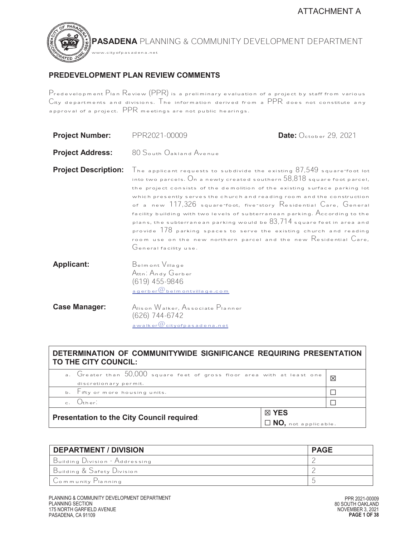# **PREDEVELOPMENT PLAN REVIEW COMMENTS**

www.cityofpasadena.net

TED JU

Predevelopment Plan Review (PPR) is a preliminary evaluation of a project by staff from various City departments and divisions. The information derived from a PPR does not constitute any approval of a project. PPR meetings are not public hearings.

| <b>Project Number:</b>      | PPR2021-00009                                                                                                                                                                                                                                                                                                                                                                                                                                                                                                                                                                                                                                                                                                                                                 | Date: October 29, 2021 |
|-----------------------------|---------------------------------------------------------------------------------------------------------------------------------------------------------------------------------------------------------------------------------------------------------------------------------------------------------------------------------------------------------------------------------------------------------------------------------------------------------------------------------------------------------------------------------------------------------------------------------------------------------------------------------------------------------------------------------------------------------------------------------------------------------------|------------------------|
| <b>Project Address:</b>     | 80 South Oakland Avenue                                                                                                                                                                                                                                                                                                                                                                                                                                                                                                                                                                                                                                                                                                                                       |                        |
| <b>Project Description:</b> | The applicant requests to subdivide the existing $87,549$ square-foot lot<br>into two parcels. $O_n$ a newly created southern $58,818$ square foot parcel,<br>the project consists of the demolition of the existing surface parking lot<br>which presently serves the church and reading room and the construction<br>of a new 117,326 square-foot, five-story Residential Care, General<br>facility building with two levels of subterranean parking. $\bigwedge$ ccording to the<br>plans, the subterranean parking would be $83,714$ square feet in area and<br>provide $178$ parking spaces to serve the existing church and reading<br>room use on the new northern parcel and the new $\mathsf R$ esidential $\mathsf C$ are,<br>General facility use. |                        |
| <b>Applicant:</b>           | Beimont Village<br>Attn: Andy Gerber<br>$(619)$ 455-9846<br>agerber @belmontvillage.com                                                                                                                                                                                                                                                                                                                                                                                                                                                                                                                                                                                                                                                                       |                        |
| <b>Case Manager:</b>        | Alison Walker, Associate Planner<br>(626) 744-6742<br>awalker@cityofpasadena.net                                                                                                                                                                                                                                                                                                                                                                                                                                                                                                                                                                                                                                                                              |                        |

# **DETERMINATION OF COMMUNITYWIDE SIGNIFICANCE REQUIRING PRESENTATION TO THE CITY COUNCIL:**

| <b>Presentation to the City Council required:</b> |                                                                          | . $NO,$ not applicable. |             |
|---------------------------------------------------|--------------------------------------------------------------------------|-------------------------|-------------|
|                                                   |                                                                          | ⊠ YES                   |             |
|                                                   | $c.$ $Q_{\text{ther}}$                                                   |                         |             |
|                                                   | b. Fifty or more housing units.                                          |                         |             |
|                                                   | discretionary permit.                                                    |                         |             |
|                                                   | a. Greater than 50,000 square feet of gross floor area with at least one |                         | $\boxtimes$ |

| <b>DEPARTMENT / DIVISION</b>   | <b>PAGE</b> |
|--------------------------------|-------------|
| Building Division - Addressing |             |
| Building & Safety Division     |             |
| Community Planning             |             |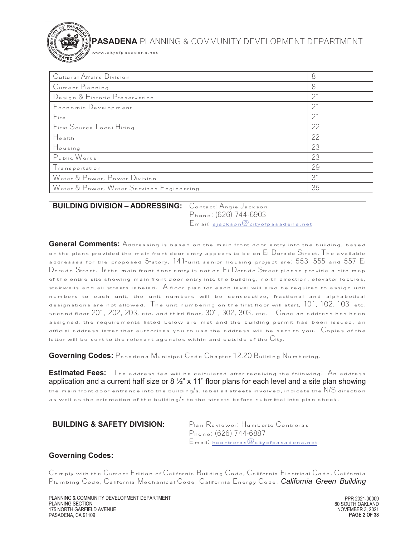www.cityofpasadena.net

| Cultural Affairs Division                 | 8              |
|-------------------------------------------|----------------|
| Current Planning                          | 8              |
| Design & Historic Preservation            | 2 <sup>1</sup> |
| Economic Development                      | 21             |
| Fin <sub>e</sub>                          | 21             |
| First Source Local Hiring                 | 22             |
| Health                                    | 22             |
| Housing                                   | 23             |
| Public Works                              | 23             |
| Transportation                            | 29             |
| Water & Power, Power Division             | 31             |
| Water & Power, Water Services Engineering | 35             |

#### $\overline{a}$ **BUILDING DIVISION – ADDRESSING:** Contact: Angie Jackson

Phone: (626) 744-6903 Email: ajackson@cityofpasadena.net

**General Comments:** Addressing is based on the main front door entry into the building, based on the plans provided the main front door entry appears to be on  $E_1$  Dorado Street. The available addresses for the proposed 5-story, 141-unit senior housing project are; 553, 555 and 557 El Dorado Street. If the main front door entry is not on El Dorado Street please provide a site map of the entire site showing main front door entry into the building, north direction, elevator lobbies, stairwells and all streets labeled. A floor plan for each level will also be required to assign unit numbers to each unit, the unit numbers will be consecutive, fractional and alphabetical designations are not allowed. The unit numbering on the first floor will start,  $101$ ,  $102$ ,  $103$ , etc. second floor 201, 202, 203, etc. and third floor, 301, 302, 303, etc. Once an address has been assigned, the requirements listed below are met and the building permit has been issued, an official address letter that authorizes you to use the address will be sent to you.  $\mathcal C$ opies of the letter will be sent to the relevant agencies within and outside of the  $C$ ity.

**Governing Codes:** Pasadena Municipal Code Chapter 12.20 Building Numbering.

**Estimated Fees:** The address fee will be calculated after receiving the following: An address application and a current half size or 8  $\frac{1}{2}$ " x 11" floor plans for each level and a site plan showing the main front door entrance into the building/s, label all streets involved, indicate the  $\mathsf{N}/\mathsf{S}$  direction as well as the orientation of the building/s to the streets before submittal into plan check.

| <b>BUILDING &amp; SAFETY DIVISION:</b> | Pian Reviewer: Humberto Contreras            |
|----------------------------------------|----------------------------------------------|
|                                        | Phone: (626) 744-6887                        |
|                                        | $E$ m ail. hcontreras $@$ cityofpasadena.net |

# **Governing Codes:**

Comply with the Current Edition of California Building Code, California Electrical Code, California Plumbing Code, California Mechanical Code, California Energy Code, *California Green Building*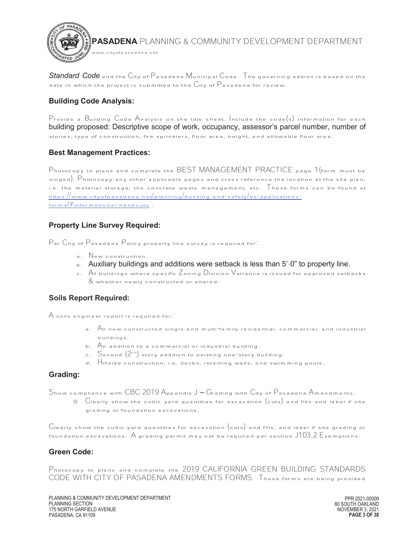

*Standard Code* and the City of Pasadena Municipal Code. The governing edition is based on the date in which the project is submitted to the  $C$ ity of  $P$  asadena for review.

# **Building Code Analysis:**

Provide a Building Code Analysis on the title sheet. Include the code(s) information for each building proposed: Descriptive scope of work, occupancy, assessor's parcel number, number of stories, type of construction, fire sprinklers, floor area, height, and allowable floor area.

#### **Best Management Practices:**

Photocopy to plans and complete the BEST MANAGEMENT PRACTICE page 1(form must be singed). Photocopy any other applicable pages and cross reference the location at the site plan, i.e. the material storage, the concrete waste management, etc.  $\overline{\phantom{x}}$  hese forms can be found at https://www.cityofpasadena.net/planning/building-and-safety/bs-applicationsforms/#informational-handouts .

#### **Property Line Survey Required:**

Per City of Pasadena Policy property line survey is required for:

- a. New construction.
- b. Auxiliary buildings and additions were setback is less than 5'-0" to property line.
- c. All buildings where specific Zoning Division Variance is issued for approved setbacks & whether newly constructed or altered.

## **Soils Report Required:**

A soils engineer report is required for:

- a. All new constructed single and multi-family residential, commercial, and industrial buildings.
- b. An addition to a commercial or industrial building.
- c.  $S$ econd  $(2^{nd})$  story addition to existing one-story building.
- d. Hillside construction, i.e. decks, retaining walls, and swimming pools.

#### **Grading:**

Show compliance with CBC 2019 Appendix J – Grading with City of Pasadena Amendments.

 $\circ$  Clearly show the cubic yard quantities for excavation  $\left(\text{cuts}\right)$  and fills and label if site grading or foundation excavations.

 $\overline{C}$ learly show the cubic yard quantities for excavation  $\overline{(cuts)}$  and fills, and label if site grading or foundation excavations.  $A$  grading permit may not be required per section  ${\text{J103.2}}$   ${\text{E}}$ xemptions.

## **Green Code:**

Photocopy to plans and complete the 2019 CALIFORNIA GREEN BUILDING STANDARDS CODE WITH CITY OF PASADENA AMENDMENTS FORMS. These forms are being provided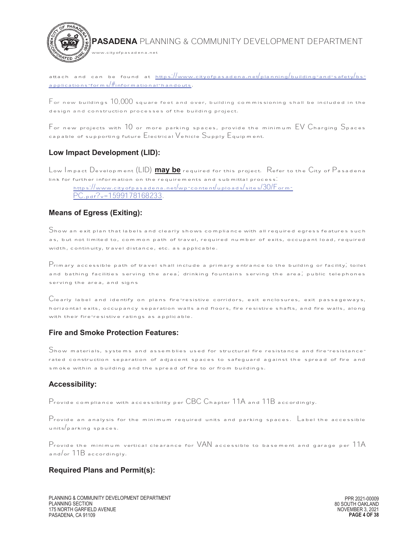

attach and can be found at https://www.cityofpasadena.net/planning/building-and-safety/bsapplications-forms/#informational-handouts.

 $F$  or new buildings  $10,000$  square feet and over, building commissioning shall be included in the design and construction processes of the building project.

For new projects with 10 or more parking spaces, provide the minimum EV Charging Spaces capable of supporting future Electrical Vehicle Supply Equipment.

#### **Low Impact Development (LID):**

Low Impact Development (LID) **may be** required for this project. Refer to the City of Pasadena link for further information on the requirements and submittal process:

https://www.cityofpasadena.net/wp-content/uploads/sites/30/Form-PC.pdf?v=1599178168233.

## **Means of Egress (Exiting):**

Show an exit plan that labels and clearly shows compliance with all required egress features such as, but not limited to, common path of travel, required number of exits, occupant load, required width, continuity, travel distance, etc. as applicable.

 $\mathsf{P}$ rimary accessible path of travel shall include a primary entrance to the building or facility, toilet and bathing facilities serving the area; drinking fountains serving the area; public telephones serving the area, and signs

Clearly label and identify on plans fire-resistive corridors, exit enclosures, exit passageways, horizontal exits, occupancy separation walls and floors, fire resistive shafts, and fire walls, along with their fire<sup>-</sup>resistive ratings as applicable.

#### **Fire and Smoke Protection Features:**

Show materials, systems and assemblies used for structural fire resistance and fire-resistancerated construction separation of adjacent spaces to safeguard against the spread of fire and smoke within a building and the spread of fire to or from buildings.

#### **Accessibility:**

Provide compliance with accessibility per CBC Chapter 11A and 11B accordingly.

 $\Gamma$  provide an analysis for the minimum required units and parking spaces. Label the accessible units/parking spaces.

Provide the minimum vertical clearance for VAN accessible to basement and garage per 11A and/or 11B accordingly.

#### **Required Plans and Permit(s):**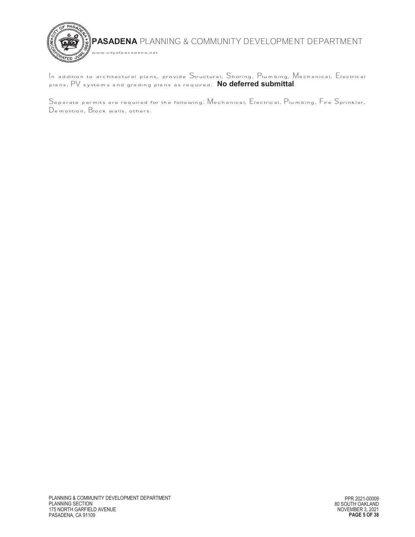

In addition to architectural plans, provide Structural, Shoring, Plumbing, Mechanical, Electrical plans, PV systems and grading plans as required. **No deferred submittal**.

Separate permits are required for the following: Mechanical, Electrical, Plumbing, Fire Sprinkler,  $\,$ Demolition, Block walls, others.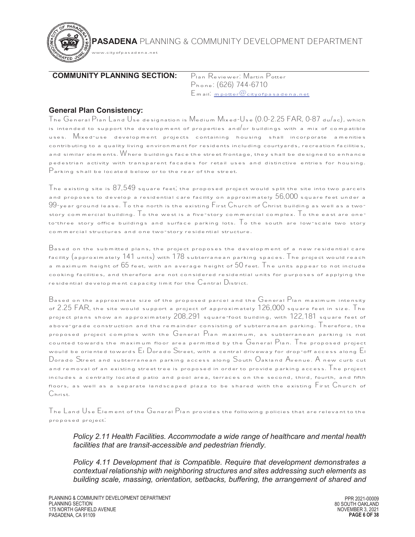

# **COMMUNITY PLANNING SECTION:** Plan Reviewer: Martin Potter

w.cityofpasadena.net

Phone: (626) 744-6710 Email: mpotter@cityofpasadena.net

# **General Plan Consistency:**

The General Plan Land Use designation is Medium Mixed-Use (0.0-2.25 FAR, 0-87 du/ac), which is intended to support the development of properties and or buildings with a mix of compatible uses. Mixed-use development projects containing housing shall incorporate amenities contributing to a quality living environment for residents including courtyards, recreation facilities, and similar elements. Where buildings face the street frontage, they shall be designed to enhance pedestrian activity with transparent facades for retail uses and distinctive entries for housing. Parking shall be located below or to the rear of the street.

The existing site is  $87,549$  square feet, the proposed project would split the site into two parcels and proposes to develop a residential care facility on approximately  $56,000$  square feet under a  $99$ -year ground lease. To the north is the existing First Church of Christ building as well as a twostory commercial building.  $\mathsf T$  othe west is a five-story commercial complex.  $\mathsf T$  othe east are oneto three story office buildings and surface parking lots.  $\overline{I}$  o the south are low-scale two story commercial structures and one two-story residential structure.

 $\rm B$ ased on the submitted plans, the project proposes the development of a new residential care facility (approximately 141 units) with 178 subterranean parking spaces. The project would reach a maximum height of  $65$  feet, with an average height of  $50$  feet. The units appear to not include cooking facilities, and therefore are not considered residential units for purposes of applying the residential development capacity limit for the  $\mathbb C$ entral  $\mathbb D$ istrict.

Based on the approximate size of the proposed parcel and the General Plan maximum intensity of 2.25 FAR, the site would support a project of approximately 126,000 square feet in size. The project plans show an approximately 208,291 square-foot building, with 122,181 square feet of above-grade construction and the remainder consisting of subterranean parking.  ${\top}$  herefore, the proposed project complies with the General Plan maximum, as subterranean parking is not counted towards the maximum floor area permitted by the General Plan. The proposed project would be oriented towards  $\mathsf{E}_\mathsf{I}$  Dorado Street, with a central driveway for drop-off access along  $\mathsf{E}_\mathsf{I}$ Dorado Street and subterranean parking access along South Oakland Avenue. A new curb cut and removal of an existing street tree is proposed in order to provide parking access. The project includes a centrally located patio and pool area, terraces on the second, third, fourth, and fifth floors, as well as a separate landscaped plaza to be shared with the existing First Church of Christ.

 $\Box$  Ine  $\Box$  Land  $\Box$  se  $\Box$  Lement of the  $\Box$  eneral  $\Box$  Plan provides the following policies that are relevant to the proposed project:

*Policy 2.11 Health Facilities. Accommodate a wide range of healthcare and mental health facilities that are transit-accessible and pedestrian friendly.* 

*Policy 4.11 Development that is Compatible. Require that development demonstrates a contextual relationship with neighboring structures and sites addressing such elements as building scale, massing, orientation, setbacks, buffering, the arrangement of shared and*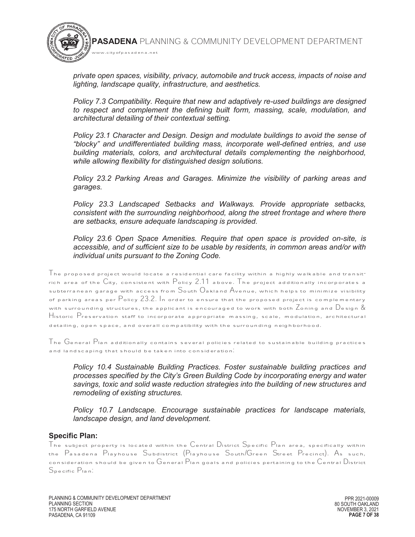*private open spaces, visibility, privacy, automobile and truck access, impacts of noise and lighting, landscape quality, infrastructure, and aesthetics.* 

www.cityofpasadena.net

*Policy 7.3 Compatibility. Require that new and adaptively re-used buildings are designed to respect and complement the defining built form, massing, scale, modulation, and architectural detailing of their contextual setting.* 

*Policy 23.1 Character and Design. Design and modulate buildings to avoid the sense of "blocky" and undifferentiated building mass, incorporate well-defined entries, and use building materials, colors, and architectural details complementing the neighborhood, while allowing flexibility for distinguished design solutions.* 

*Policy 23.2 Parking Areas and Garages. Minimize the visibility of parking areas and garages.* 

*Policy 23.3 Landscaped Setbacks and Walkways. Provide appropriate setbacks, consistent with the surrounding neighborhood, along the street frontage and where there are setbacks, ensure adequate landscaping is provided.* 

*Policy 23.6 Open Space Amenities. Require that open space is provided on-site, is accessible, and of sufficient size to be usable by residents, in common areas and/or with individual units pursuant to the Zoning Code.* 

 $\Box$  he proposed project would locate a residential care facility within a highly walkable and transitrich area of the City, consistent with Policy 2.11 above. The project additionally incorporates a subterranean garage with access from  $S$ outh  $O$ akland  $A$ venue, which helps to minimize visibility of parking areas per Policy 23.2. In order to ensure that the proposed project is complementary with surrounding structures, the applicant is encouraged to work with both  $Z$ oning and  $D$ esign  $\&$ Historic Preservation staff to incorporate appropriate massing, scale, modulation, architectural detailing, open space, and overall compatibility with the surrounding neighborhood.

The  $\rm G$ eneral  $\rm P$ lan additionally contains several policies related to sustainable building practices and landscaping that should be taken into consideration:

*Policy 10.4 Sustainable Building Practices. Foster sustainable building practices and processes specified by the City's Green Building Code by incorporating energy and water savings, toxic and solid waste reduction strategies into the building of new structures and remodeling of existing structures.* 

*Policy 10.7 Landscape. Encourage sustainable practices for landscape materials, landscape design, and land development.* 

#### **Specific Plan:**

The subject property is located within the Central District Specific Plan area, specifically within the Pasadena Playhouse Subdistrict (Playhouse South/Green Street Precinct). As such, consideration should be given to General Plan goals and policies pertaining to the  $\mathbb C$ entral  $\mathbb D$ istrict Specific Plan: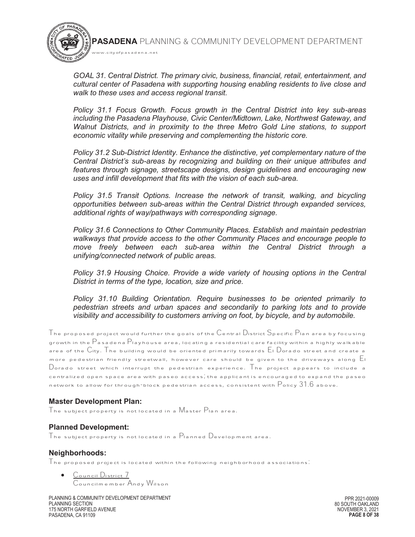*GOAL 31. Central District. The primary civic, business, financial, retail, entertainment, and cultural center of Pasadena with supporting housing enabling residents to live close and walk to these uses and access regional transit.*

*Policy 31.1 Focus Growth. Focus growth in the Central District into key sub-areas including the Pasadena Playhouse, Civic Center/Midtown, Lake, Northwest Gateway, and Walnut Districts, and in proximity to the three Metro Gold Line stations, to support economic vitality while preserving and complementing the historic core.* 

*Policy 31.2 Sub-District Identity. Enhance the distinctive, yet complementary nature of the Central District's sub-areas by recognizing and building on their unique attributes and features through signage, streetscape designs, design guidelines and encouraging new uses and infill development that fits with the vision of each sub-area.* 

*Policy 31.5 Transit Options. Increase the network of transit, walking, and bicycling opportunities between sub-areas within the Central District through expanded services, additional rights of way/pathways with corresponding signage.* 

*Policy 31.6 Connections to Other Community Places. Establish and maintain pedestrian walkways that provide access to the other Community Places and encourage people to move freely between each sub-area within the Central District through a unifying/connected network of public areas.* 

*Policy 31.9 Housing Choice. Provide a wide variety of housing options in the Central District in terms of the type, location, size and price.* 

*Policy 31.10 Building Orientation. Require businesses to be oriented primarily to pedestrian streets and urban spaces and secondarily to parking lots and to provide visibility and accessibility to customers arriving on foot, by bicycle, and by automobile.*

The proposed project would further the goals of the  $\mathbb C$ entral  $\mathbb D$ istrict  $\mathbb S$ pecific  $\mathbb P$ lan area by focusing growth in the Pasadena Playhouse area, locating a residential care facility within a highly walkable area of the  $C$ ity. The building would be oriented primarily towards  $E$ l Dorado street and create a more pedestrian friendly streetwall, however care should be given to the driveways along El Dorado street which interrupt the pedestrian experience. The project appears to include a centralized open space area with paseo access; the applicant is encouraged to expand the paseo network to allow for through-block pedestrian access, consistent with  $\mathsf{P}_\mathsf{olicy}$  31.6 above.

#### **Master Development Plan:**

The subject property is not located in a Master Plan area.

www.cityofpasadena.net

#### **Planned Development:**

The subject property is not located in a  $\mathsf{P}_\mathsf{I}$ anned  $\mathsf{D}_\mathsf{e}$ velopment area.

#### **Neighborhoods:**

 $\mathcal T$ he proposed project is located within the following neighborhood associations.

Council District 7 Councilmember Andy Wilson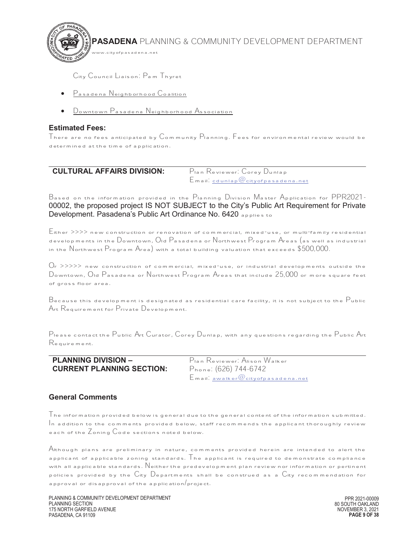**PASADENA** PLANNING & COMMUNITY DEVELOPMENT DEPARTMENT www.cityofpasadena.net

City Council Liaison: Pam Thyret

- Pasadena Neighborhood Coalition
- · Downtown Pasadena Neighborhood Association

## **Estimated Fees:**

There are no fees anticipated by  $\mathbb C$ ommunity  $\mathsf P$ lanning. Fees for environmental review would be determined at the time of application.

| <b>CULTURAL AFFAIRS DIVISION:</b> | Plan Reviewer: Corey Dunlap              |
|-----------------------------------|------------------------------------------|
|                                   | $E$ mail. cdunlap $@$ cityofpasadena.net |

 Based on the information provided in the Planning Division Master Application for PPR2021- 00002, the proposed project IS NOT SUBJECT to the City's Public Art Requirement for Private Development. Pasadena's Public Art Ordinance No. 6420 applies to

Either >>>> new construction or renovation of commercial, mixed-use, or multi-family residential developments in the Downtown, Old Pasadena or Northwest Program Areas (as well as industrial in the Northwest Program Area) with a total building valuation that exceeds \$500,000.

 $O_r$  >>>>> new construction of commercial, mixed-use, or industrial developments outside the Downtown, Old Pasadena or Northwest Program Areas that include 25,000 or more square feet of gross floor area.

 $\rm\,B$ ecause this development is designated as residential care facility, it is not subject to the  $\rm\,P$ ublic Art Requirement for Private Development.

Please contact the Public Art Curator, Corey Dunlap, with any questions regarding the Public Art Requirement.

| <b>PLANNING DIVISION -</b>       |
|----------------------------------|
| <b>CURRENT PLANNING SECTION:</b> |

Plan Reviewer: Alison Walker Phone: (626) 744-6742 Email: awalker@cityofpasadena.net

# **General Comments**

 $\mathsf T$ he information provided below is general due to the general content of the information submitted.  $\mathcal{I}_{\mathsf{A}}$  addition to the comments provided below, staff recommends the applicant thoroughly review each of the Zoning Code sections noted below.

Although plans are preliminary in nature, comments provided herein are intended to alert the applicant of applicable zoning standards. The applicant is required to demonstrate compliance with all applicable standards. Neither the predevelopment plan review nor information or pertinent policies provided by the City Departments shall be construed as a City recommendation for approval or disapproval of the application/project.

PLANNING & COMMUNITY DEVELOPMENT DEPARTMENT PLANNING SECTION 175 NORTH GARFIELD AVENUE PASADENA, CA 91109

PPR 2021-00009 80 SOUTH OAKLAND NOVEMBER 3, 2021 **PAGE 9 OF 38**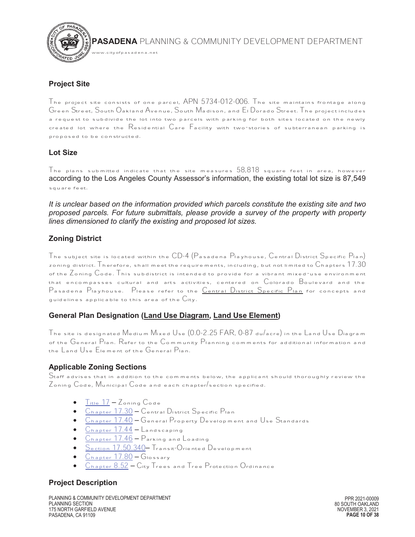

#### **Project Site**

www.cityofpasadena.net

The project site consists of one parcel,  $APN$   $5/34$ - $012$ - $006$ . The site maintains frontage along Green Street, South Oakland Avenue, South Madison, and El Dorado Street. The project includes a request to subdivide the lot into two parcels with parking for both sites located on the newly created lot where the Residential Care Facility with two-stories of subterranean parking is proposed to be constructed.

## **Lot Size**

The plans submitted indicate that the site measures  $58,818$  square feet in area, however according to the Los Angeles County Assessor's information, the existing total lot size is 87,549 square feet.

*It is unclear based on the information provided which parcels constitute the existing site and two proposed parcels. For future submittals, please provide a survey of the property with property lines dimensioned to clarify the existing and proposed lot sizes.* 

# **Zoning District**

The subject site is located within the CD-4 (Pasadena Playhouse, Central District Specific Plan) zoning district. Therefore, shall meet the requirements, including, but not limited to  $\mathbb{C}$ hapters  $17.30$ of the Zoning Code. This subdistrict is intended to provide for a vibrant mixed-use environment that encompasses cultural and arts activities, centered on Colorado Boulevard and the Pasadena Playhouse. Please refer to the Central District Specific Plan for concepts and quidelines applicable to this area of the  $C$ ity.

# **General Plan Designation (Land Use Diagram, Land Use Element)**

The site is designated Medium Mixed Use (0.0-2.25 FAR, 0-87 du/acre) in the Land Use Diagram of the General Plan. Refer to the Community Planning comments for additional information and the Land Use Element of the General Plan.

#### **Applicable Zoning Sections**

Staff advises that in addition to the comments below, the applicant should thoroughly review the Zoning Code, Municipal Code and each chapter/section specified.

- · Title 17 Zoning Code
- · Chapter 17.30 Central District Specific Plan
- · Chapter 17.40 General Property Development and Use Standards
- $C_{hapter}$  17.44 Landscaping
- Chapter 17.46 Parking and Loading
- Section 17.50.340 Transit-Oriented Development
- · Chapter 17.80 Glossary
- · Chapter 8.52 City Trees and Tree Protection Ordinance

# **Project Description**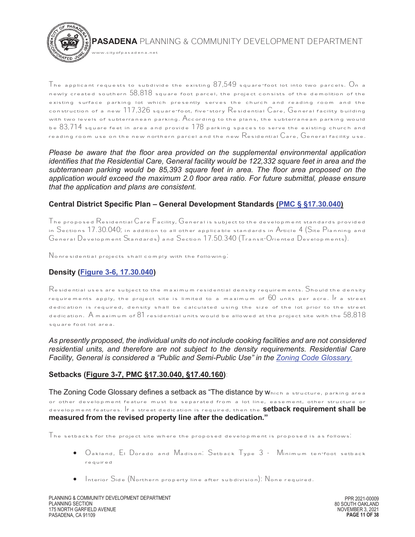

 The applicant requests to subdivide the existing  $8/549$  square-foot lot into two parcels.  $\Box$ n a newly created southern  $58,818$  square foot parcel, the project consists of the demolition of the existing surface parking lot which presently serves the church and reading room and the construction of a new  $117,326$  square-foot, five-story Residential Care, General facility building with two levels of subterranean parking. According to the plans, the subterranean parking would be  $83,714$  square feet in area and provide  $178$  parking spaces to serve the existing church and reading room use on the new northern parcel and the new  ${\rm Re} \sinh \theta$  are,  ${\rm General}$  facility use.

*Please be aware that the floor area provided on the supplemental environmental application identifies that the Residential Care, General facility would be 122,332 square feet in area and the subterranean parking would be 85,393 square feet in area. The floor area proposed on the application would exceed the maximum 2.0 floor area ratio. For future submittal, please ensure that the application and plans are consistent.* 

#### **Central District Specific Plan – General Development Standards (PMC § §17.30.040)**

The proposed Residential Care Facility, General is subject to the development standards provided in Sections 17.30.040; in addition to all other applicable standards in Article 4 (Site Planning and General Development Standards) and Section 17.50.340 (Transit-Oriented Developments).

Nonresidential projects shall comply with the following:

# **Density (Figure 3-6, 17.30.040)**

 ${\mathsf R}$ esidential uses are subject to the maximum residential density requirements.  ${\mathsf S}$ hould the density requirements apply, the project site is limited to a maximum of  $60$  units per acre. If a street dedication is required, density shall be calculated using the size of the lot prior to the street dedication.  $A$  maximum of  $81$  residential units would be allowed at the project site with the  $58.818$ square foot lot area.

*As presently proposed, the individual units do not include cooking facilities and are not considered residential units, and therefore are not subject to the density requirements. Residential Care Facility, General is considered a "Public and Semi-Public Use" in the Zoning Code Glossary.*

#### **Setbacks (Figure 3-7, PMC §17.30.040, §17.40.160)**:

The Zoning Code Glossary defines a setback as "The distance by which a structure, parking area or other development feature must be separated from a lot line, easement, other structure or development features. If a street dedication is required, then the **setback requirement shall be measured from the revised property line after the dedication."**

 ${\mathsf T}$ he setbacks for the project site where the proposed development is proposed is as follows.

- · Oakland, El Dorado and Madison: Setback Type 3 Minimum ten-foot setback required
- · Interior Side (Northern property line after subdivision): None required.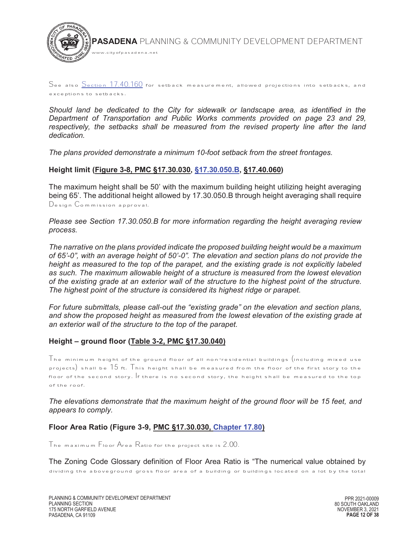

#### See also Section 17.40.160 for setback measurement, allowed projections into setbacks, and exceptions to setbacks.

*Should land be dedicated to the City for sidewalk or landscape area, as identified in the Department of Transportation and Public Works comments provided on page 23 and 29, respectively, the setbacks shall be measured from the revised property line after the land dedication.* 

*The plans provided demonstrate a minimum 10-foot setback from the street frontages.* 

## **Height limit (Figure 3-8, PMC §17.30.030, §17.30.050.B, §17.40.060)**

The maximum height shall be 50' with the maximum building height utilizing height averaging being 65'. The additional height allowed by 17.30.050.B through height averaging shall require Design Commission approval.

*Please see Section 17.30.050.B for more information regarding the height averaging review process.* 

*The narrative on the plans provided indicate the proposed building height would be a maximum of 65'-0", with an average height of 50'-0". The elevation and section plans do not provide the height as measured to the top of the parapet, and the existing grade is not explicitly labeled as such. The maximum allowable height of a structure is measured from the lowest elevation of the existing grade at an exterior wall of the structure to the highest point of the structure. The highest point of the structure is considered its highest ridge or parapet.* 

*For future submittals, please call-out the "existing grade" on the elevation and section plans, and show the proposed height as measured from the lowest elevation of the existing grade at an exterior wall of the structure to the top of the parapet.* 

# **Height – ground floor (Table 3-2, PMC §17.30.040)**

 $\top$ he minimum height of the ground floor of all non-residential buildings (including mixed use projects) shall be  $15$  ft. This height shall be measured from the floor of the first story to the floor of the second story. If there is no second story, the height shall be measured to the top of the roof.

*The elevations demonstrate that the maximum height of the ground floor will be 15 feet, and appears to comply.* 

# **Floor Area Ratio (Figure 3-9, PMC §17.30.030, Chapter 17.80)**

The maximum Floor Area Ratio for the project site is 2.00.

The Zoning Code Glossary definition of Floor Area Ratio is "The numerical value obtained by dividing the aboveground gross floor area of a building or buildings located on a lot by the total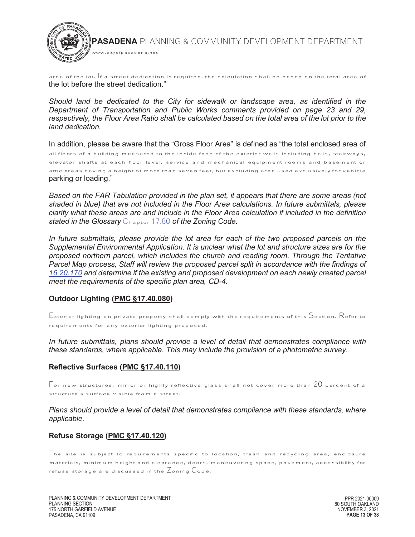

area of the lot. If a street dedication is required, the calculation shall be based on the total area of the lot before the street dedication."

*Should land be dedicated to the City for sidewalk or landscape area, as identified in the Department of Transportation and Public Works comments provided on page 23 and 29,*  respectively, the Floor Area Ratio shall be calculated based on the total area of the lot prior to the *land dedication.* 

In addition, please be aware that the "Gross Floor Area" is defined as "the total enclosed area of all floors of a building measured to the inside face of the exterior walls including halls, stairways, elevator shafts at each floor level, service and mechanical equipment rooms and basement or attic areas having a height of more than seven feet, but excluding area used exclusively for vehicle parking or loading."

*Based on the FAR Tabulation provided in the plan set, it appears that there are some areas (not shaded in blue) that are not included in the Floor Area calculations. In future submittals, please clarify what these areas are and include in the Floor Area calculation if included in the definition stated in the Glossary* Chapter 17.80 *of the Zoning Code.* 

*In future submittals, please provide the lot area for each of the two proposed parcels on the Supplemental Environmental Application. It is unclear what the lot and structure sizes are for the proposed northern parcel, which includes the church and reading room. Through the Tentative Parcel Map process, Staff will review the proposed parcel split in accordance with the findings of 16.20.170 and determine if the existing and proposed development on each newly created parcel meet the requirements of the specific plan area, CD-4.* 

#### **Outdoor Lighting (PMC §17.40.080)**

 $\mathsf E$ xterior lighting on private property shall comply with the requirements of this  $\mathsf S$ ection.  $\mathsf R$ efer to requirements for any exterior lighting proposed.

*In future submittals, plans should provide a level of detail that demonstrates compliance with these standards, where applicable. This may include the provision of a photometric survey.* 

#### **Reflective Surfaces (PMC §17.40.110)**

 $\mathsf F$  or new structures, mirror or highly reflective glass shall not cover more than  $20$  percent of a structure s surface visible from a street.

*Plans should provide a level of detail that demonstrates compliance with these standards, where applicable.*

#### **Refuse Storage (PMC §17.40.120)**

The site is subject to requirements specific to location, trash and recycling area, enclosure materials, minimum height and clearance, doors, maneuvering space, pavement, accessibility for refuse storage are discussed in the  $Z$ oning  $\mathbb{C}$ ode.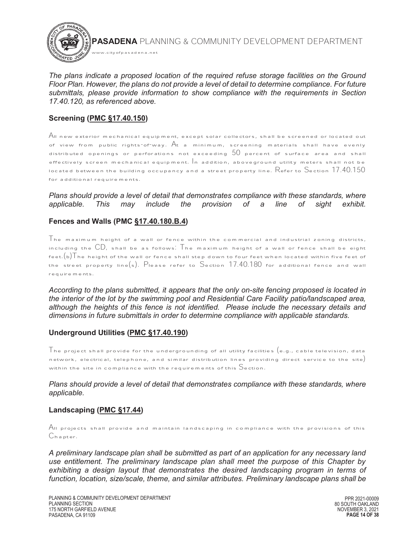

*The plans indicate a proposed location of the required refuse storage facilities on the Ground Floor Plan. However, the plans do not provide a level of detail to determine compliance. For future submittals, please provide information to show compliance with the requirements in Section 17.40.120, as referenced above.* 

# **Screening (PMC §17.40.150)**

All new exterior mechanical equipment, except solar collectors, shall be screened or located out of view from public rights-of-way. At a minimum, screening materials shall have evenly distributed openings or perforations not exceeding  $50$  percent of surface area and shall effectively screen mechanical equipment. In addition, aboveground utility meters shall not be located between the building occupancy and a street property line.  $R$ efer to Section  $17.40.150$ for additional requirements.

#### *Plans should provide a level of detail that demonstrates compliance with these standards, where applicable. This may include the provision of a line of sight exhibit.*

## **Fences and Walls (PMC §17.40.180.B.4)**

The maximum height of a wall or fence within the commercial and industrial zoning districts, including the  $CD$ , shall be as follows. The maximum height of a wall or fence shall be eight feet. $(b)$ The height of the wall or fence shall step down to four feet when located within five feet of the street property line(s). Please refer to Section 17.40.180 for additional fence and wall requirements.

*According to the plans submitted, it appears that the only on-site fencing proposed is located in the interior of the lot by the swimming pool and Residential Care Facility patio/landscaped area, although the heights of this fence is not identified. Please include the necessary details and dimensions in future submittals in order to determine compliance with applicable standards.*

#### **Underground Utilities (PMC §17.40.190)**

 $\top$ he project shall provide for the undergrounding of all utility facilities  $({\rm e.g.},$  cable television, data network, electrical, telephone, and similar distribution lines providing direct service to the site) within the site in compliance with the requirements of this Section.

*Plans should provide a level of detail that demonstrates compliance with these standards, where applicable.*

#### **Landscaping (PMC §17.44)**

All projects shall provide and maintain landscaping in compliance with the provisions of this Chapter.

*A preliminary landscape plan shall be submitted as part of an application for any necessary land use entitlement. The preliminary landscape plan shall meet the purpose of this Chapter by exhibiting a design layout that demonstrates the desired landscaping program in terms of function, location, size/scale, theme, and similar attributes. Preliminary landscape plans shall be*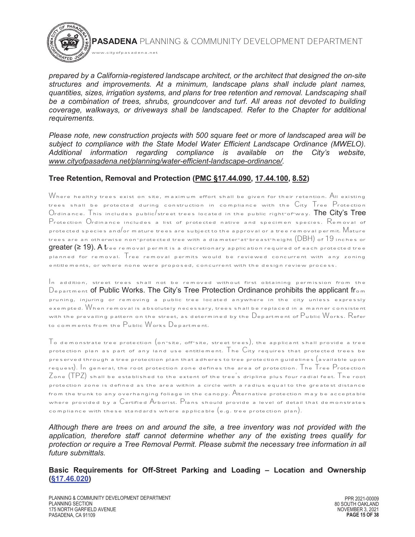*prepared by a California-registered landscape architect, or the architect that designed the on-site structures and improvements. At a minimum, landscape plans shall include plant names, quantities, sizes, irrigation systems, and plans for tree retention and removal. Landscaping shall*  be a combination of trees, shrubs, groundcover and turf. All areas not devoted to building *coverage, walkways, or driveways shall be landscaped. Refer to the Chapter for additional requirements.* 

*Please note, new construction projects with 500 square feet or more of landscaped area will be subject to compliance with the State Model Water Efficient Landscape Ordinance (MWELO). Additional information regarding compliance is available on the City's website, www.cityofpasadena.net/planning/water-efficient-landscape-ordinance/.* 

## **Tree Retention, Removal and Protection (PMC §17.44.090, 17.44.100, 8.52)**

www.cityofpasadena.net

Where healthy trees exist on site, maximum effort shall be given for their retention.  $\overline{\mathrm{A}}$ ll existing trees shall be protected during construction in compliance with the City Tree Protection  $O$ rdinance. This includes public/street trees located in the public right-of-way. The City's Tree Protection Ordinance includes a list of protected native and specimen species. Removal of protected species and/or mature trees are subject to the approval or a tree removal permit. Mature trees are an otherwise non-protected tree with a diameter-at-breast-height  $(DBH)$  of  $19$  inches or **greater (≥ 19). A t**ree removal permit is a discretionary application required of each protected tree planned for removal. Tree removal permits would be reviewed concurrent with any zoning entitlements, or where none were proposed, concurrent with the design review process.

In addition, street trees shall not be removed without first obtaining permission from the  $D_{\text{e}}$  partment of Public Works. The City's Tree Protection Ordinance prohibits the applicant from pruning, injuring or removing a public tree located anywhere in the city unless expressly exempted. When removal is absolutely necessary, trees shall be replaced in a manner consistent with the prevailing pattern on the street, as determined by the  $\mathbb D$ epartment of  $\mathsf P$ ublic  $\mathsf W$ orks.  $\mathsf R$ efer to comments from the Public Works Department.

 $\top$ o demonstrate tree protection (on–site, off-site, street trees), the applicant shall provide a tree protection plan as part of any land use entitlement. The  $C$ ity requires that protected trees be preserved through a tree protection plan that adheres to tree protection guidelines  $\big($  available upon request). In general, the root protection zone defines the area of protection. The Tree Protection  $Z$ one  $(\mathsf{TPZ})$  shall be established to the extent of the trees dripline plus four radial feet. The root protection zone is defined as the area within a circle with a radius equal to the greatest distance from the trunk to any overhanging foliage in the canopy. Alternative protection may be acceptable where provided by a Certified Arborist. Plans should provide a level of detail that demonstrates compliance with these standards where applicable  $(e.g.$  tree protection plan).

*Although there are trees on and around the site, a tree inventory was not provided with the application, therefore staff cannot determine whether any of the existing trees qualify for protection or require a Tree Removal Permit. Please submit the necessary tree information in all future submittals.* 

 **Basic Requirements for Off-Street Parking and Loading – Location and Ownership (§17.46.020)**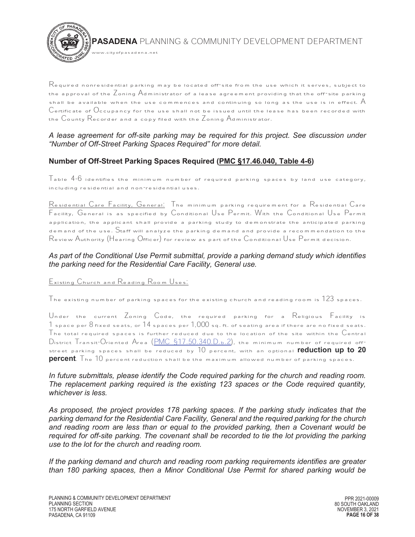

  $\mathsf R$ equired nonresidential parking may be located off-site from the use which it serves, subject to the approval of the Zoning Administrator of a lease agreement providing that the off-site parking shall be available when the use commences and continuing so long as the use is in effect.  $\mathsf A$ Certificate of Occupancy for the use shall not be issued until the lease has been recorded with the County Recorder and a copy filed with the Zoning Administrator.

#### *A lease agreement for off-site parking may be required for this project. See discussion under "Number of Off-Street Parking Spaces Required" for more detail.*

# **Number of Off-Street Parking Spaces Required (PMC §17.46.040, Table 4-6)**

 $T$ able  $4$ - $6$  identifies the minimum number of required parking spaces by land use category, including residential and non-residential uses.

Residential Care Facility, General: The minimum parking requirement for a Residential Care Facility, General is as specified by Conditional Use Permit. With the Conditional Use Permit application, the applicant shall provide a parking study to demonstrate the anticipated parking demand of the use. Staff will analyze the parking demand and provide a recommendation to the Review Authority (Hearing Officer) for review as part of the Conditional Use Permit decision.

## *As part of the Conditional Use Permit submittal, provide a parking demand study which identifies the parking need for the Residential Care Facility, General use.*

Existing Church and Reading Room Uses:

The existing number of parking spaces for the existing church and reading room is  $123$  spaces.

Under the current Zoning Code, the required parking for a Religious Facility is  $1$  space per  $8$  fixed seats, or  $14$  spaces per  $1,000$  sq. ft. of seating area if there are no fixed seats. The total required spaces is further reduced due to the location of the site within the  $\mathbb C$ entral District Transit-Oriented Area (PMC §17.50.340.D.b.2), the minimum number of required offstreet parking spaces shall be reduced by 10 percent, with an optional **reduction up to 20 percent**. The 10 percent reduction shall be the maximum allowed number of parking spaces.

In future submittals, please identify the Code required parking for the church and reading room. *The replacement parking required is the existing 123 spaces or the Code required quantity, whichever is less.* 

*As proposed, the project provides 178 parking spaces. If the parking study indicates that the parking demand for the Residential Care Facility, General and the required parking for the church and reading room are less than or equal to the provided parking, then a Covenant would be*  required for off-site parking. The covenant shall be recorded to tie the lot providing the parking *use to the lot for the church and reading room.* 

*If the parking demand and church and reading room parking requirements identifies are greater than 180 parking spaces, then a Minor Conditional Use Permit for shared parking would be*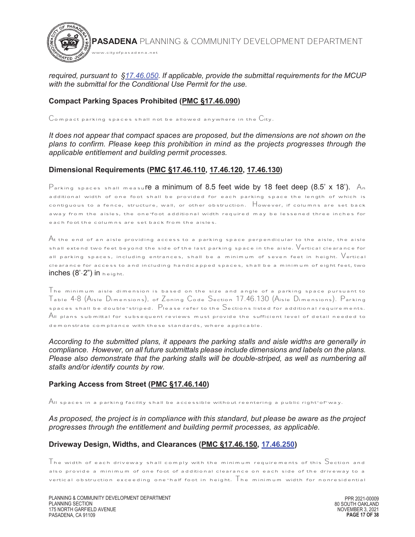

*required, pursuant to §17.46.050. If applicable, provide the submittal requirements for the MCUP with the submittal for the Conditional Use Permit for the use.* 

# **Compact Parking Spaces Prohibited (PMC §17.46.090)**

 $\mathcal C$ ompact parking spaces shall not be allowed anywhere in the  $\mathcal C$ ity.

*It does not appear that compact spaces are proposed, but the dimensions are not shown on the plans to confirm. Please keep this prohibition in mind as the projects progresses through the applicable entitlement and building permit processes.*

# **Dimensional Requirements (PMC §17.46.110, 17.46.120, 17.46.130)**

 $\mathsf{P}_\mathsf{arking}$  spaces shall measu**re a minimum of 8.5 feet wide by 18 feet deep (8.5' x 18').** An additional width of one foot shall be provided for each parking space the length of which is contiguous to a fence, structure, wall, or other obstruction. However, if columns are set back away from the aisles, the one-foot additional width required may be lessened three inches for each foot the columns are set back from the aisles.

 ${\mathcal A}$ t the end of an aisle providing access to a parking space perpendicular to the aisle, the aisle shall extend two feet beyond the side of the last parking space in the aisle.  $\mathsf{V}\textup{critical}$  clearance for all parking spaces, including entrances, shall be a minimum of seven feet in height. Vertical clearance for access to and including handicapped spaces, shall be a minimum of eight feet, two inches  $(8^{\circ}-2^{\circ})$  in  $height.$ 

The minimum aisle dimension is based on the size and angle of a parking space pursuant to Table 4-8 (Aisle Dimensions), of Zoning Code Section 17.46.130 (Aisle Dimensions). Parking spaces shall be double-striped. Please refer to the Sections listed for additional requirements. All plans submittal for subsequent reviews must provide the sufficient level of detail needed to demonstrate compliance with these standards, where applicable.

*According to the submitted plans, it appears the parking stalls and aisle widths are generally in compliance. However, on all future submittals please include dimensions and labels on the plans. Please also demonstrate that the parking stalls will be double-striped, as well as numbering all stalls and/or identify counts by row.* 

#### **Parking Access from Street (PMC §17.46.140)**

 ${\mathsf A}$ II spaces in a parking facility shall be accessible without reentering a public right-of-way.

*As proposed, the project is in compliance with this standard, but please be aware as the project progresses through the entitlement and building permit processes, as applicable.* 

# **Driveway Design, Widths, and Clearances (PMC §17.46.150, 17.46.250)**

The width of each driveway shall comply with the minimum requirements of this Section and also provide a minimum of one foot of additional clearance on each side of the driveway to a vertical obstruction exceeding one-half foot in height. The minimum width for nonresidential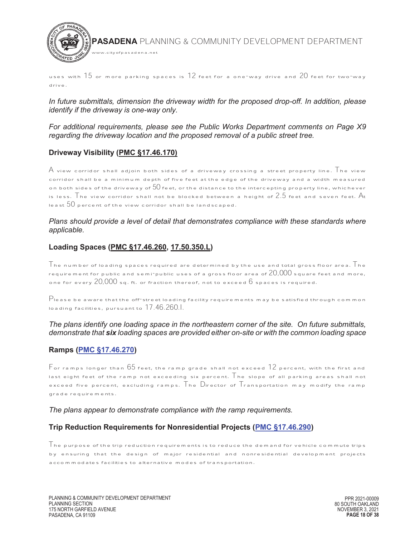

uses with  $15$  or more parking spaces is  $12$  feet for a one-way drive and  $20$  feet for two-way drive.

*In future submittals, dimension the driveway width for the proposed drop-off. In addition, please identify if the driveway is one-way only.* 

*For additional requirements, please see the Public Works Department comments on Page X9 regarding the driveway location and the proposed removal of a public street tree.* 

# **Driveway Visibility (PMC §17.46.170)**

 ${\sf A}$  view corridor shall adjoin both sides of a driveway crossing a street property line.  $\top$ he view corridor shall be a minimum depth of five feet at the edge of the driveway and a width measured on both sides of the driveway of  $50$  feet, or the distance to the intercepting property line, whichever is less. The view corridor shall not be blocked between a height of 2.5 feet and seven feet.  $A_t$ least  $50$  percent of the view corridor shall be landscaped.

#### Plans should provide a level of detail that demonstrates compliance with these standards where *applicable.*

#### **Loading Spaces (PMC §17.46.260, 17.50.350.L)**

The number of loading spaces required are determined by the use and total gross floor area. The requirement for public and semi-public uses of a gross floor area of  $20,000$  square feet and more, one for every  $20,000$  sq. ft. or fraction thereof, not to exceed  $6$  spaces is required.

 $\mathsf{P}_{\mathsf{lease}}$  be aware that the off-street loading facility requirements may be satisfied through common loading facilities, pursuant to 17.46.260.I.

#### *The plans identify one loading space in the northeastern corner of the site. On future submittals, demonstrate that six loading spaces are provided either on-site or with the common loading space*

#### $\overline{a}$ **Ramps (PMC §17.46.270)**

 $\mathsf F$  or ramps longer than  $65$  feet, the ramp grade shall not exceed  $12$  percent, with the first and last eight feet of the ramp not exceeding six percent. The slope of all parking areas shall not exceed five percent, excluding ramps. The Director of Transportation may modify the ramp grade requirements.

#### *The plans appear to demonstrate compliance with the ramp requirements.*

#### **Trip Reduction Requirements for Nonresidential Projects (PMC §17.46.290)**

 $\Box$  he purpose of the trip reduction requirements is to reduce the demand for vehicle commute trips by ensuring that the design of major residential and nonresidential development projects accommodates facilities to alternative modes of transportation.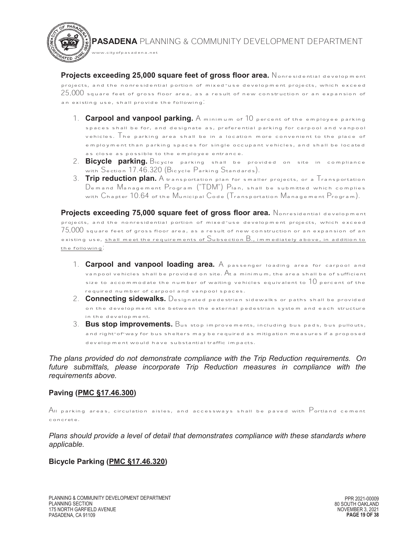**Projects exceeding 25,000 square feet of gross floor area.** Nonresidential development projects, and the nonresidential portion of mixed-use development projects, which exceed  $25,000$  square feet of gross floor area, as a result of new construction or an expansion of an existing use, shall provide the following:

www.cityofpasadena.net

- 1. **Carpool and vanpool parking.** A minimum of 10 percent of the employee parking spaces shall be for, and designate as, preferential parking for carpool and vanpool vehicles. The parking area shall be in a location more convenient to the place of employment than parking spaces for single occupant vehicles, and shall be located as close as possible to the employee entrance.
- 2. **Bicycle parking.** Bicycle parking shall be provided on site in compliance with Section 17.46.320 (Bicycle Parking Standards).
- 3. **Trip reduction plan.** A transportation plan for smaller projects, or a Transportation Demand Management Program ("TDM") Plan, shall be submitted which complies with Chapter 10.64 of the Municipal Code (Transportation Management Program).

 **Projects exceeding 75,000 square feet of gross floor area.** Nonresidential development projects, and the nonresidential portion of mixed-use development projects, which exceed  $75,\!000$  square feet of gross floor area, as a result of new construction or an expansion of an existing use, shall meet the requirements of  $S$ ubsection  $B_{\cdot}$ , immediately above, in addition to the following:

- 1. **Carpool and vanpool loading area.** A passenger loading area for carpool and vanpool vehicles shall be provided on site.  ${\mathsf A}$ t a minimum, the area shall be of sufficient size to accommodate the number of waiting vehicles equivalent to  $10$  percent of the required number of carpool and vanpool spaces.
- 2. **Connecting sidewalks.** Designated pedestrian sidewalks or paths shall be provided on the development site between the external pedestrian system and each structure in the development.
- 3. **Bus stop improvements.** Bus stop improvements, including bus pads, bus pullouts, and right-of-way for bus shelters may be required as mitigation measures if a proposed development would have substantial traffic impacts.

*The plans provided do not demonstrate compliance with the Trip Reduction requirements. On*  future submittals, please incorporate Trip Reduction measures in compliance with the *requirements above.* 

# **Paving (PMC §17.46.300)**

 $A$ II parking areas, circulation aisles, and accessways shall be paved with  $\mathsf{P}$ ortland cement concrete.

*Plans should provide a level of detail that demonstrates compliance with these standards where applicable.* 

#### **Bicycle Parking (PMC §17.46.320)**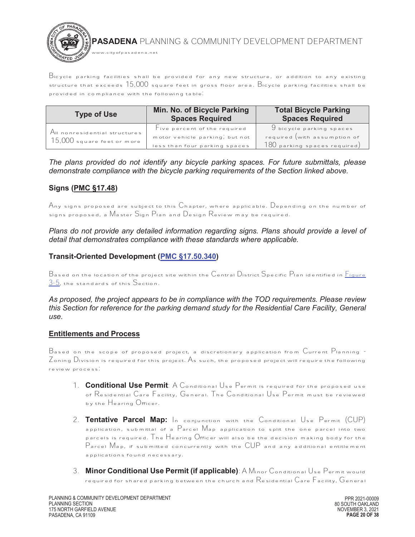

Bicycle parking facilities shall be provided for any new structure, or addition to any existing structure that exceeds 15,000 square feet in gross floor area. Bicycle parking facilities shall be provided in compliance with the following table:

| <b>Type of Use</b>                                            | Min. No. of Bicycle Parking<br><b>Spaces Required</b>                                                                   | <b>Total Bicycle Parking</b><br><b>Spaces Required</b>                                                        |
|---------------------------------------------------------------|-------------------------------------------------------------------------------------------------------------------------|---------------------------------------------------------------------------------------------------------------|
| All nonresidential structures<br>$15,000$ square feet or more | $\overline{\phantom{a}}$ ive percent of the required<br>motor vehicle parking, but not<br>less than four parking spaces | 9 bicycle parking spaces<br>required (with assumption of<br>$\left(180\text{ parking spaces required}\right)$ |

*The plans provided do not identify any bicycle parking spaces. For future submittals, please demonstrate compliance with the bicycle parking requirements of the Section linked above.* 

# **Signs (PMC §17.48)**

Any signs proposed are subject to this  $\mathbb C$ hapter, where applicable. Depending on the number of signs proposed, a Master Sign Plan and Design Review may be required.

Plans do not provide any detailed information regarding signs. Plans should provide a level of *detail that demonstrates compliance with these standards where applicable.* 

## **Transit-Oriented Development (PMC §17.50.340)**

 ${\sf B}$ ased on the location of the project site within the  ${\sf C}$ entral  ${\sf D}$ istrict  ${\sf S}$ pecific  ${\sf P}$ lan identified in  $\underline{{\sf F}$ igure 3-5, the standards of this Section.

*As proposed, the project appears to be in compliance with the TOD requirements. Please review this Section for reference for the parking demand study for the Residential Care Facility, General use.* 

#### **Entitlements and Process**

Based on the scope of proposed project, a discretionary application from Current Planning -  $Z$ oning  $D$ ivision is required for this project. As such, the proposed project will require the following review process:

- 1. **Conditional Use Permit**: A Conditional Use Permit is required for the proposed use of Residential Care Facility, General. The Conditional Use Permit must be reviewed by the Hearing Officer.
- 2. **Tentative Parcel Map:** In conjunction with the Conditional Use Permit (CUP) application, submittal of a Parcel Map application to split the one parcel into two parcels is required. The Hearing Officer will also be the decision making body for the Parcel Map, if submitted concurrently with the CUP and any additional entitlement applications found necessary.
- 3. **Minor Conditional Use Permit (if applicable)**: A Minor Conditional Use Permit would required for shared parking between the church and Residential Care Facility, General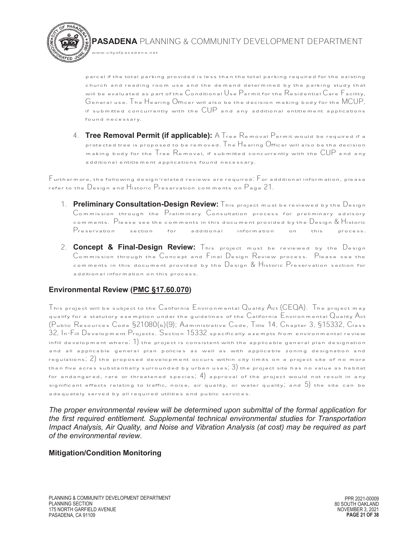parcel if the total parking provided is less than the total parking required for the existing church and reading room use and the demand determined by the parking study that will be evaluated as part of the Conditional Use Permit for the Residential Care Facility, General use. The Hearing Officer will also be the decision making body for the MCUP, if submitted concurrently with the  $\mathsf{CUP}$  and any additional entitlement applications found necessary.

4. **Tree Removal Permit (if applicable):** A Tree Removal Permit would be required if a protected tree is proposed to be removed. The Hearing Officer will also be the decision making body for the Tree Removal, if submitted concurrently with the CUP and any additional entitlement applications found necessary.

Furthermore, the following design-related reviews are required: For additional information, please refer to the Design and Historic Preservation comments on Page 21.

- 1. **Preliminary Consultation-Design Review:** This project must be reviewed by the Design Commission through the Preliminary Consultation process for preliminary advisory comments. Please see the comments in this document provided by the Design & Historic Preservation section for additional information on this process.
- 2. **Concept & Final-Design Review:** This project must be reviewed by the Design Commission through the Concept and Final Design Review process. Please see the comments in this document provided by the Design & Historic Preservation section for additional information on this process.

# **Environmental Review (PMC §17.60.070)**

www.cityofpasadena.net

This project will be subject to the California Environmental Quality Act (CEQA). The project may qualify for a statutory exemption under the guidelines of the  $\mathsf{C}\textsf{a}$ lifornia  $\mathsf{E}\textsf{n}$ vironmental  $\mathsf{Q}\textsf{u}$ ality  $\mathsf{A}\textsf{c}\textsf{t}$ (Public Resources Code §21080(b)(9); Administrative Code, Title 14, Chapter 3, §15332, Class 32, In-Fill Development Projects. Section 15332 specifically exempts from environmental review infill development where.  $\left( 1\right)$  the project is consistent with the applicable general plan designation and all applicable general plan policies as well as with applicable zoning designation and regulations; 2) the proposed development occurs within city limits on a project site of no more than five acres substantially surrounded by urban uses;  $3)$  the project site has no value as habitat for endangered, rare or threatened species;  $4)$  approval of the project would not result in any significant effects relating to traffic, noise, air quality, or water quality, and  $5$ ) the site can be adequately served by all required utilities and public services.

*The proper environmental review will be determined upon submittal of the formal application for the first required entitlement. Supplemental technical environmental studies for Transportation Impact Analysis, Air Quality, and Noise and Vibration Analysis (at cost) may be required as part of the environmental review.* 

#### **Mitigation/Condition Monitoring**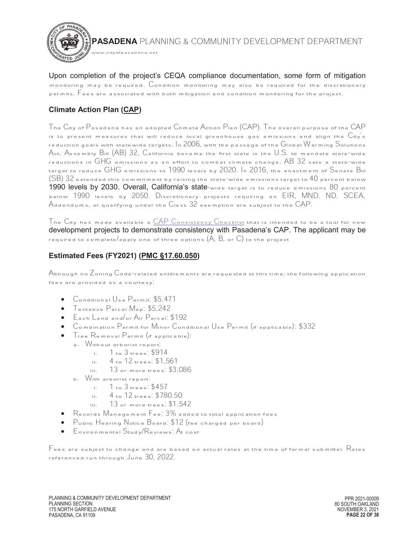

Upon completion of the project's CEQA compliance documentation, some form of mitigation monitoring may be required. Condition monitoring may also be required for the discretionary permits. Fees are associated with both mitigation and condition monitoring for the project.

# **Climate Action Plan (CAP)**

The City of  $P$ asadena has an adopted Climate Action Plan (CAP). The overall purpose of the CAP is to present measures that will reduce local greenhouse gas emissions and align the  $\mathrm{City}^{\prime}$ s reduction goals with statewide targets. In 2006, with the passage of the Global Warming Solutions Act, Assembly Bill (AB) 32, California became the first state in the U.S. to mandate state-wide reductions in GHG emissions as an effort to combat climate change. AB 32 sets a state-wide target to reduce GHG emissions to 1990 levels by 2020. In 2016, the enactment of Senate Bill  $\left( \text{SB} \right)$   $32$  extended this commitment by raising the state-wide emissions target to  $40$  percent below 1990 levels by 2030. Overall, California's state-wide target is to reduce emissions 80 percent below 1990 levels by 2050. Discretionary projects requiring an EIR, MND, ND, SCEA, Addendums, or qualifying under the Class 32 exemption are subject to the CAP.

The  $\mathsf{C}$ ity has made available a  $\underline{\mathsf{CAP}}$   $\mathsf{Consistency}$   $\mathsf{Checklist}$  that is intended to be a tool for new development projects to demonstrate consistency with Pasadena's CAP. The applicant may be required to complete/apply one of three options  $(A, B, \text{ or } C)$  to the project

# **Estimated Fees (FY2021) (PMC §17.60.050)**

 $\mathsf{A}$ lthough no  $\mathsf{Z}$ oning  $\mathsf{C}$ ode-related entitlements are requested at this time, the following application fees are provided as a courtesy:

- · Conditional Use Permit: \$5,471
- Tentative Parcel Map: \$5,242<br>• Each Land and/or Air Parcel.
- · Each Land and/or Air Parcel: \$192
- · Combination Permit for Minor Conditional Use Permit (if applicable): \$332
- · Tree Removal Permit (if applicable):
	- a. Without arborist report:
		- i.  $1 \text{ to } 3 \text{ trees: } $914$ <br>ii.  $4 \text{ to } 12 \text{ trees: } $1.5$
		- ii. 4 to 12 trees: \$1,561
		- iii. 13 or more trees: \$3,086
	- b. With arborist report.<br> $\frac{1}{10}$  1 to 3 trees.
		- i. 1 to 3 trees: \$457
		- ii. 4 to 12 trees: \$780.50
		- iii. 13 or more trees: \$1,542
- · Records Management Fee: 3% added to total application fees
- · Public Hearing Notice Board: \$12 (fee charged per board)
- · Environmental Study/Reviews: At cost

 $\mathsf F$ ees are subject to change and are based on actual rates at the time of formal submittal.  $\mathsf R$ ates referenced run through June 30, 2022.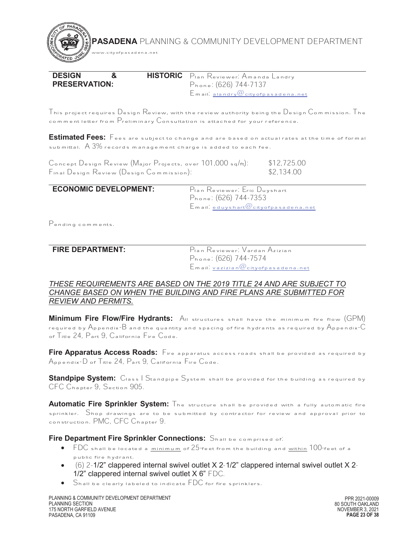| <b>DESIGN</b>        |  | <b>HISTORIC</b> Plan Reviewer: Amanda Landry |
|----------------------|--|----------------------------------------------|
| <b>PRESERVATION:</b> |  | Phone: (626) 744-7137                        |
|                      |  | $E$ mail. alandry $@$ city of pasadena.net   |

This project requires Design Review, with the review authority being the Design Commission. The comment letter from Preliminary Consultation is attached for your reference.

 $\overline{a}$ **Estimated Fees:** Fees are subject to change and are based on actual rates at the time of formal submittal.  $A$  3% records management charge is added to each fee.

Concept Design Review (Major Projects, over 101,000 sq/ft): \$12,725.00<br>Final Design Review (Design Commission): \$2,134.00 Final Design Review (Design Commission):

## **ECONOMIC DEVELOPMENT:** Plan Reviewer: Eric Duyshart

www.cityofpasadena.net

Phone: (626) 744-7353 Email: eduyshart@cityofpasadena.net

Pending comments.

# $\overline{a}$

**FIRE DEPARTMENT:** Plan Reviewer: Vardan Azizian Phone: (626) 744-7574 Email: vazizian@cityofpasadena.net

#### *THESE REQUIREMENTS ARE BASED ON THE 2019 TITLE 24 AND ARE SUBJECT TO CHANGE BASED ON WHEN THE BUILDING AND FIRE PLANS ARE SUBMITTED FOR REVIEW AND PERMITS.*

**Minimum Fire Flow/Fire Hydrants:** All structures shall have the minimum fire flow (GPM) required by  $A_{\text{ppendix}}$  B and the quantity and spacing of fire hydrants as required by  $A_{\text{ppendix}}$  C of Title 24, Part 9, California Fire Code.

**Fire Apparatus Access Roads:** Fire apparatus access roads shall be provided as required by Appendix-D of Title 24, Part 9, California Fire Code.

**Standpipe System:** Class | Standpipe System shall be provided for the building as required by CFC Chapter 9, Section 905.

**Automatic Fire Sprinkler System:** The structure shall be provided with a fully automatic fire sprinkler. Shop drawings are to be submitted by contractor for review and approval prior to construction. PMC, CFC Chapter 9.

**Fire Department Fire Sprinkler Connections:** Shall be comprised of:

- FDC shall be located a minimum of 25-feet from the building and within 100-feet of a public fire hydrant.
- $\bullet$  (6) 2-1/2" clappered internal swivel outlet X 2-1/2" clappered internal swivel outlet X 2-1/2" clappered internal swivel outlet X 6" FDC.
- $\bullet$  Shall be clearly labeled to indicate FDC for fire sprinklers.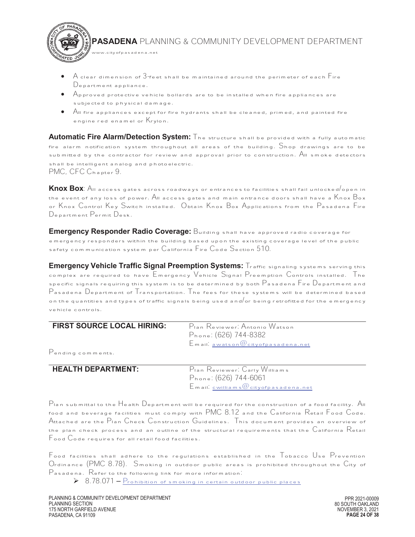$\bullet$   $\;$  A clear dimension of  $3$  feet shall be maintained around the perimeter of each  $\sf{F}$ ire Department appliance.

www.cityofpasadena.net

17ED J

- $\bullet$   $\quad$   $\bigwedge$   $\rho$  proved protective vehicle bollards are to be installed when fire appliances are subjected to physical damage.
- · All fire appliances except for fire hydrants shall be cleaned, primed, and painted fire engine red enamel or Krylon.

**Automatic Fire Alarm/Detection System:** The structure shall be provided with a fully automatic fire alarm notification system throughout all areas of the building.  $\mathsf{S}$ hop drawings are to be submitted by the contractor for review and approval prior to construction. All smoke detectors shall be intelligent analog and photoelectric. PMC, CFC Chapter 9.

**Knox Box**: All access gates across roadways or entrances to facilities shall fail unlocked/open in the event of any loss of power. All access gates and main entrance doors shall have a  $\mathsf{K}$ nox  $\mathsf{B}$ ox or Knox Control Key Switch installed. Obtain Knox Box Applications from the Pasadena Fire Department Permit Desk.

**Emergency Responder Radio Coverage:** Building shall have approved radio coverage for emergency responders within the building based upon the existing coverage level of the public safety communication system per California Fire Code Section 510.

**Emergency Vehicle Traffic Signal Preemption Systems:** Traffic signaling systems serving this complex are required to have Emergency Vehicle Signal Preemption Controls installed. The specific signals requiring this system is to be determined by both  $\mathsf P$  asadena  $\mathsf F$ ire  $\mathsf D$ epartment and Pasadena Department of Transportation. The fees for these systems will be determined based on the quantities and types of traffic signals being used and or being retrofitted for the emergency vehicle controls.

| <b>FIRST SOURCE LOCAL HIRING:</b>                                                                               | Pian Reviewer: Antonio Watson                |
|-----------------------------------------------------------------------------------------------------------------|----------------------------------------------|
|                                                                                                                 | Phone: (626) 744-8382                        |
|                                                                                                                 | $E$ m ail. awatson $@$ city of pasadena, net |
| the contract of the contract of the contract of the contract of the contract of the contract of the contract of |                                              |

Pending comments.

#### $\overline{a}$ **HEALTH DEPARTMENT:** Plan Reviewer: Carly Williams

Phone: (626) 744-6061 Email: cwilliams@cityofpasadena.net

Plan submittal to the Health Department will be required for the construction of a food facility. All food and beverage facilities must comply with PMC 8.12 and the California Retail Food Code. Attached are the Plan Check Construction Guidelines. This document provides an overview of the plan check process and an outline of the structural requirements that the  $C$ alifornia  $\rm R$ etail Food Code requires for all retail food facilities.

Food facilities shall adhere to the regulations established in the Tobacco Use Prevention Ordinance (PMC 8.78). Smoking in outdoor public areas is prohibited throughout the City of Pasadena. Refer to the following link for more information:

 $\triangleright$  8.78.071 – Prohibition of smoking in certain outdoor public places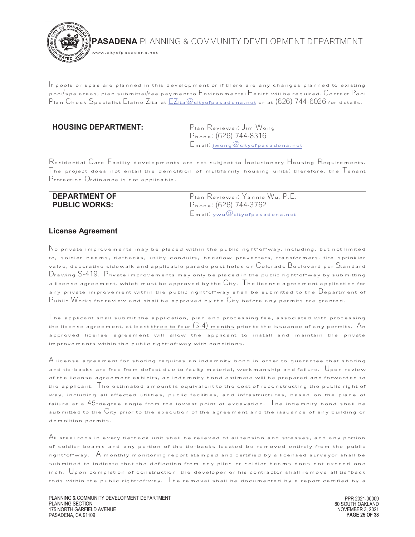

 $\vert$  f pools or spas are planned in this development or if there are any changes planned to existing pool/spa areas, plan submittal/fee payment to Environmental Health will be required. Contact Pool Plan Check Specialist Elaine Zita at EZita@cityofpasadena.net or at (626) 744-6026 for details.

#### $\overline{a}$ **HOUSING DEPARTMENT:** Plan Reviewer: Jim Wong

Phone: (626) 744-8316 Email: jwong@cityofpasadena.net

Residential Care Facility developments are not subject to Inclusionary Housing Requirements. The project does not entail the demolition of multifamily housing units, therefore, the  $\overline{\phantom{x}}$  enant Protection Ordinance is not applicable.

| <b>DEPARTMENT OF</b> | Pian Reviewer: Yannie Wu, P.E.      |
|----------------------|-------------------------------------|
| <b>PUBLIC WORKS:</b> | Phone: (626) 744-3762               |
|                      | $E$ mail. $ywu@$ cityofpasadena.net |

#### **License Agreement**

 $\mathbb N$ o private improvements may be placed within the public right-of-way, including, but not limited to, soldier beams, tie-backs, utility conduits, backflow preventers, transformers, fire sprinkler valve, decorative sidewalk and applicable parade post holes on  $\mathbb C$ olorado  $\mathbb B$ oulevard per  $\mathbb S$ tandard Drawing S-419. Private improvements may only be placed in the public right-of-way by submitting a license agreement, which must be approved by the  $C$ ity. The license agreement application for any private improvement within the public right-of-way shall be submitted to the  $\mathbb D$ epartment of  $P$ ublic  $W$ orks for review and shall be approved by the  $C$ ity before any permits are granted.

 $\mathcal T$ he applicant shall submit the application, plan and processing fee, associated with processing the license agreement, at least <u>three to four  $(3-4)$  months</u> prior to the issuance of any permits.  $A_n$ approved license agreement will allow the applicant to install and maintain the private improvements within the public right-of-way with conditions.

 ${\sf A}$  license agreement for shoring requires an indemnity bond in order to guarantee that shoring and tie-backs are free from defect due to faulty material, workmanship and failure.  $\bigcup_{\mathsf{Don\ review}}$ of the license agreement exhibits, an indemnity bond estimate will be prepared and forwarded to the applicant. The estimated amount is equivalent to the cost of reconstructing the public right of way, including all affected utilities, public facilities, and infrastructures, based on the plane of failure at a  $45$ -degree angle from the lowest point of excavation. The indemnity bond shall be submitted to the  $\rm C$ ity prior to the execution of the agreement and the issuance of any building or demolition permits.

 ${\mathcal A}$ II steel rods in every tie-back unit shall be relieved of all tension and stresses, and any portion of soldier beams and any portion of the tie-backs located be removed entirely from the public right-of-way. A monthly monitoring report stamped and certified by a licensed surveyor shall be submitted to indicate that the deflection from any piles or soldier beams does not exceed one inch.  $\bigcup_{\mathsf{pon}}$  completion of construction, the developer or his contractor shall remove all tie-back rods within the public right-of-way.  $\overline{\phantom{x}}$  he removal shall be documented by a report certified by a

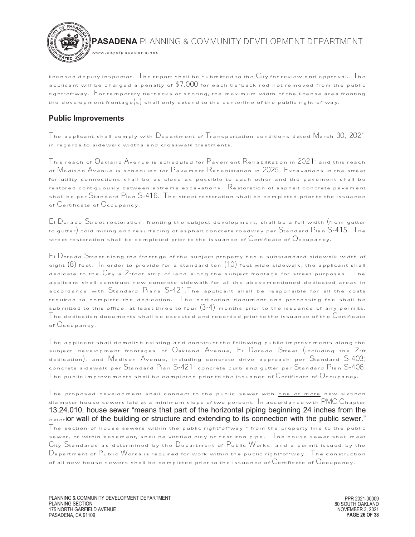

licensed deputy inspector. The report shall be submitted to the  $C$ ity for review and approval. The applicant will be charged a penalty of  $\$7,000$  for each tie-back rod not removed from the public right-of-way. For temporary tie-backs or shoring, the maximum width of the license area fronting the development frontage(s) shall only extend to the centerline of the public right-of-way.

# **Public Improvements**

The applicant shall comply with Department of Transportation conditions dated March 30, 2021 in regards to sidewalk widths and crosswalk treatments.

This reach of Oakland Avenue is scheduled for Pavement Rehabilitation in 2021; and this reach of Madison Avenue is scheduled for Pavement Rehabilitation in 2025. Excavations in the street for utility connections shall be as close as possible to each other and the pavement shall be restored contiguously between extreme excavations. Restoration of asphalt concrete pavement shall be per Standard Plan S-416. The street restoration shall be completed prior to the issuance of Certificate of Occupancy.

El Dorado Street restoration, fronting the subject development, shall be a full width (from gutter to gutter) cold milling and resurfacing of asphalt concrete roadway per Standard Plan S-415. The street restoration shall be completed prior to the issuance of  $\mathbb C$ ertificate of  $\mathbb O$ ccupancy.

El Dorado Street along the frontage of the subject property has a substandard sidewalk width of eight  $(8)$  feet. In order to provide for a standard ten  $(10)$  feet wide sidewalk, the applicant shall dedicate to the City a 2-foot strip of land along the subject frontage for street purposes. The applicant shall construct new concrete sidewalk for all the abovementioned dedicated areas in accordance with Standard Plans S-421.The applicant shall be responsible for all the costs required to complete the dedication. The dedication document and processing fee shall be submitted to this office, at least three to four  $(3-4)$  months prior to the issuance of any permits.  $\top$ he dedication documents shall be executed and recorded prior to the issuance of the  $\mathbb C$ ertificate of Occupancy.

 $\mathcal T$ he applicant shall demolish existing and construct the following public improvements along the subject development frontages of Oakland Avenue, El Dorado Street (including the 2-ft dedication), and Madison Avenue, including concrete drive approach per Standard S-403; concrete sidewalk per Standard Plan S-421; concrete curb and gutter per Standard Plan S-406.  ${\mathsf T}$ he public improvements shall be completed prior to the issuance of  ${\mathsf C}$ ertificate of  ${\mathsf O}$ ccupancy.

 $\mathsf T$ he proposed development shall connect to the public sewer with <u>one or more</u> new six<sup>-</sup>inch diameter house sewers laid at a minimum slope of two percent.  $\ln$  accordance with PMC  $C$ hapter 13.24.010, house sewer "means that part of the horizontal piping beginning 24 inches from the exterior wall of the building or structure and extending to its connection with the public sewer."  $\mathcal T$ he section of house sewers within the public right-of-way - from the property line to the public sewer, or within easement, shall be vitrified clay or cast iron pipe. The house sewer shall meet City Standards as determined by the Department of Public Works, and a permit issued by the  $\mathsf{D}_{\texttt{epartment}}$  of  $\mathsf{P}_{\texttt{ublic}}$  Works is required for work within the public right-of-way. The construction of all new house sewers shall be completed prior to the issuance of  $\mathbb C$ ertificate of  $\mathbb O$ ccupancy.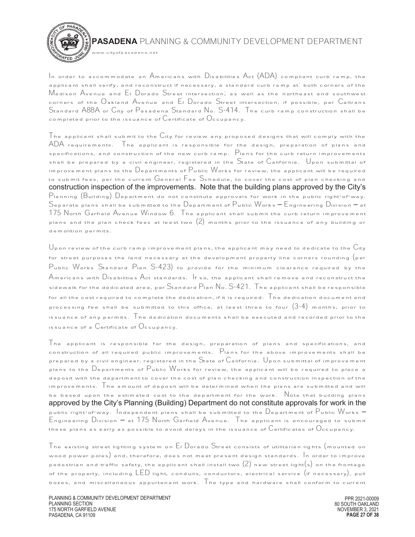

In order to accommodate an Americans with Disabilities Act (ADA) compliant curb ramp, the applicant shall verify, and reconstruct if necessary, a standard curb ramp at: both corners of the Madison Avenue and El Dorado Street intersection; as well as the northeast and southwest corners of the Oakland Avenue and El Dorado Street intersection, if possible, per Caltrans Standard A88A or City of Pasadena Standard No. S-414. The curb ramp construction shall be completed prior to the issuance of  $\mathbb C$  ertificate of  $\mathbb O$  ccupancy.

.<br>w.cityofpasadena.net

 $\mathsf T$ he applicant shall submit to the  $\mathsf C$ ity for review any proposed designs that will comply with the ADA requirements. The applicant is responsible for the design, preparation of plans and specifications, and construction of the new curb ramp. Plans for the curb return improvements shall be prepared by a civil engineer, registered in the State of California. Upon submittal of improvement plans to the  $\mathbb D$ epartments of  $\mathbb P$ ublic Works for review, the applicant will be required to submit fees, per the current General Fee Schedule, to cover the cost of plan checking and construction inspection of the improvements. Note that the building plans approved by the City's Planning (Building) Department do not constitute approvals for work in the public right-of-way. Separate plans shall be submitted to the Department of Public Works – Engineering Division – at 175 North Garfield Avenue Window 6. The applicant shall submit the curb return improvement plans and the plan check fees at least two  $(2)$  months prior to the issuance of any building or demolition permits.

 $\bigcup$ pon review of the curb ramp improvement plans, the applicant may need to dedicate to the  $\mathrm{C}$ ity for street purposes the land necessary at the development property line corners rounding  $($  per Public Works Standard Plan S-423) to provide for the minimum clearance required by the Americans with Disabilities Act standards. If so, the applicant shall remove and reconstruct the sidewalk for the dedicated area, per  $S$ tandard  $P$ lan  $N_o$ .  $S$ -421. The applicant shall be responsible for all the cost required to complete the dedication, if it is required.  $\top$ he dedication document and processing fee shall be submitted to this office, at least three to four  $(3-4)$  months, prior to issuance of any permits. The dedication documents shall be executed and recorded prior to the issuance of a  $\mathcal{C}_{\text{extificate of}}$   $\mathcal{O}_{\text{ccupancy}}$ .

 $\mathsf T$ he applicant is responsible for the design, preparation of plans and specifications, and construction of all required public improvements. Plans for the above improvements shall be prepared by a civil engineer, registered in the State of California. Upon submittal of improvement plans to the Departments of Public Works for review, the applicant will be required to place a deposit with the department to cover the cost of plan checking and construction inspection of the improvements.  $\top$ he amount of deposit will be determined when the plans are submitted and will be based upon the estimated cost to the department for the work.  $\;$  Note that building plans approved by the City's Planning (Building) Department do not constitute approvals for work in the public right-of-way. Independent plans shall be submitted to the Department of Public Works – Engineering Division – at 175 North Garfield Avenue. The applicant is encouraged to submit these plans as early as possible to avoid delays in the issuance of  $\mathsf{C}$ ertificates of  $\mathsf{O}$ ccupancy.

The existing street lighting system on El Dorado Street consists of utilitarian lights (mounted on wood power poles) and, therefore, does not meet present design standards.  $\,$  In order to improve pedestrian and traffic safety, the applicant shall install two  $(2)$  new street light $(s)$  on the frontage of the property, including  $LED$  light, conduits, conductors, electrical service (if necessary), pull boxes, and miscellaneous appurtenant work. The type and hardware shall conform to current

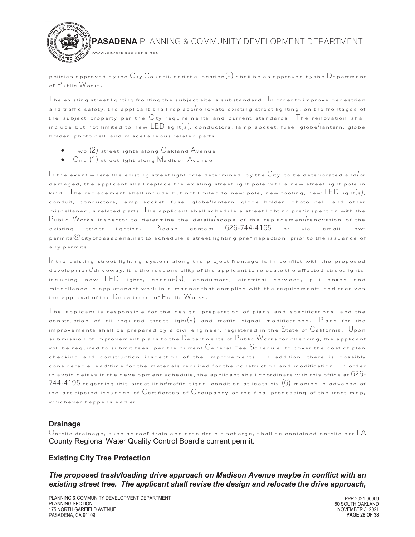

policies approved by the  $C$ ity  $C$ ouncil, and the location(s) shall be as approved by the  $D$ epartment of Public Works.

 $\top$ he existing street lighting fronting the subject site is substandard.  $\,$  In order to improve pedestrian and traffic safety, the applicant shall replace/renovate existing street lighting, on the frontages of the subject property per the City requirements and current standards. The renovation shall include but not limited to new  $\text{LED}$  light $(s)$ , conductors, lamp socket, fuse, globe/lantern, globe holder, photo cell, and miscellaneous related parts.

- · Two (2) street lights along Oakland Avenue
- · One (1) street light along Madison Avenue

 $\mathop{I}\limits^{\mathop{I}\limits^{\mathop{I}\limits^{\mathop{I}\limits^{\mathop{I}\limits^{\mathop{I}\limits^{\mathop{I}\limits^{\mathop{I}\limits^{\mathop{I}\limits^{\mathop{I}\limits^{\mathop{I}\limits^{\mathop{I}\limits^{\mathop{I}\limits^{\mathop{I}\limits^{\mathop{I}\limits^{\mathop{I}\limits^{\mathop{I}\limits^{\mathop{I}\limits^{\mathop{I}\limits^{\mathop{I}\limits^{\mathop{I}\limits^{\mathop{I}\limits^{\mathop{I}\limits^{\mathop{I}\limits^{\mathop{I}\limits^{\mathop{I}\limits^{\mathop{I}\limits^{\mathop{$ damaged, the applicant shall replace the existing street light pole with a new street light pole in kind. The replacement shall include but not limited to new pole, new footing, new LED light(s), conduit, conductors, lamp socket, fuse, globe/lantern, globe holder, photo cell, and other miscellaneous related parts.  $\overline{\ }$  he applicant shall schedule a street lighting pre-inspection with the Public Works inspector to determine the details/scope of the replacement/renovation of the existing street lighting. Please contact 626-744-4195 or via email: pwpermits $@$ cityofpasadena.net to schedule a street lighting pre-inspection, prior to the issuance of any permits.

If the existing street lighting system along the project frontage is in conflict with the proposed development/driveway, it is the responsibility of the applicant to relocate the affected street lights, including new LED lights, conduit(s), conductors, electrical services, pull boxes and miscellaneous appurtenant work in a manner that complies with the requirements and receives the approval of the  $D$ epartment of  $P$ ublic Works.

The applicant is responsible for the design, preparation of plans and specifications, and the construction of all required street light $(s)$  and traffic signal modifications. Plans for the improvements shall be prepared by a civil engineer, registered in the State of California. Upon submission of improvement plans to the Departments of Public Works for checking, the applicant will be required to submit fees, per the current  $\mathsf G$ eneral  $\mathsf F$ ee  $\mathsf S$ chedule, to cover the cost of plan checking and construction inspection of the improvements.  $|$ n addition, there is possibly considerable lead-time for the materials required for the construction and modification.  $\,$  n order to avoid delays in the development schedule, the applicant shall coordinate with this office at  $626$ - $744$ - $4195$  regarding this street light/traffic signal condition at least six  $(6)$  months in advance of the anticipated issuance of  $C$ ertificates of  $C$ ccupancy or the final processing of the tract map, whichever happens earlier.

#### **Drainage**

 $\circ$  On-site drainage, such as roof drain and area drain discharge, shall be contained on-site per  $\mathsf{LA}$ County Regional Water Quality Control Board's current permit.

# **Existing City Tree Protection**

*The proposed trash/loading drive approach on Madison Avenue maybe in conflict with an existing street tree. The applicant shall revise the design and relocate the drive approach,*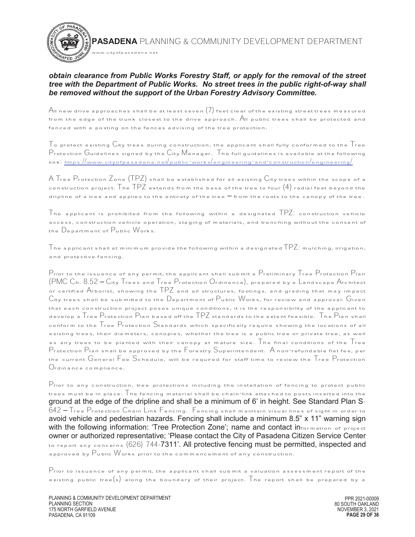#### *obtain clearance from Public Works Forestry Staff, or apply for the removal of the street tree with the Department of Public Works. No street trees in the public right-of-way shall be removed without the support of the Urban Forestry Advisory Committee.*

www.cityofpasadena.net

 ${\mathcal A}$ ll new drive approaches shall be at least seven  $(7)$  feet clear of the existing street trees measured from the edge of the trunk closest to the drive approach.  $A$ II public trees shall be protected and fenced with a posting on the fences advising of the tree protection.

 $\top$ o protect existing  $\mathbb{C}$ ity trees during construction, the applicant shall fully conformed to the  $\top$ ree Protection Guidelines signed by the City Manager. The full guidelines is available at the following link: https://www.cityofpasadena.net/public-works/engineering-and-construction/engineering/

A Tree Protection Zone (TPZ) shall be established for all existing City trees within the scope of a construction project.  $\mathsf{Tr}\, \mathsf{PT}\,$  extends from the base of the tree to four  $(4)$  radial feet beyond the dripline of a tree and applies to the entirety of the tree  $-$  from the roots to the canopy of the tree.

 The applicant is prohibited from the following within a designated  $\text{TPZ:}$  construction vehicle access, construction vehicle operation, staging of materials, and trenching without the consent of the Department of Public Works.

The applicant shall at minimum provide the following within a designated  $\mathsf{PZ}\text{.}$  mulching, irrigation, and protective fencing.

Prior to the issuance of any permit, the applicant shall submit a Preliminary Tree Protection Plan (PMC Ch. 8.52 – City Trees and Tree Protection Ordinance), prepared by a Landscape Architect or certified Arborist, showing the TPZ and all structures, footings, and grading that may impact City trees shall be submitted to the Department of Public Works, for review and approval. Given that each construction project poses unique conditions, it is the responsibility of the applicant to develop a Tree Protection Plan based off the TPZ standards to the extent feasible. The Plan shall conform to the Tree Protection Standards which specifically require showing the locations of all existing trees, their diameters, canopies, whether the tree is a public tree or private tree, as well as any trees to be planted with their canopy at mature size. The final conditions of the  $\overline{\phantom{a}}$  ree Protection Plan shall be approved by the Forestry Superintendent. A non-refundable flat fee, per the current General Fee Schedule, will be required for staff time to review the Tree Protection Ordinance compliance.

Prior to any construction, tree protections including the installation of fencing to protect public trees must be in place. The fencing material shall be chain-link attached to posts inserted into the ground at the edge of the dripline and shall be a minimum of 6' in height. See Standard Plan S-642 – Tree Protection Chain Link Fencing. Fencing shall maintain visual lines of sight in order to avoid vehicle and pedestrian hazards. Fencing shall include a minimum 8.5" x 11" warning sign with the following information: 'Tree Protection Zone'; name and contact  $\mathbf{in}_{\text{formation of project}}$ owner or authorized representative; 'Please contact the City of Pasadena Citizen Service Center to report any concerns (626) 744-7311'. All protective fencing must be permitted, inspected and approved by Public Works prior to the commencement of any construction.

 $\mathsf P$ rior to issuance of any permit, the applicant shall submit a valuation assessment report of the existing public tree(s) along the boundary of their project. The report shall be prepared by a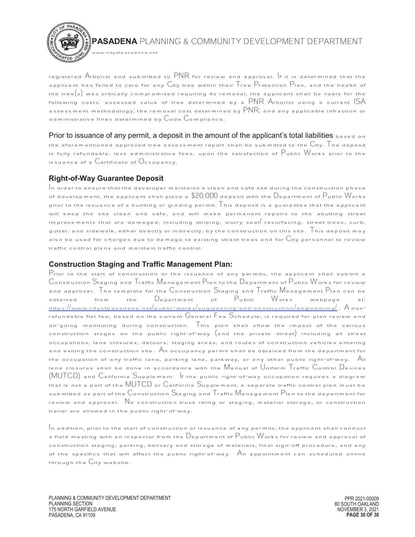

registered Arborist and submitted to PNR for review and approval. If it is determined that the applicant has failed to care for any City tree within their Tree Protection Plan, and the health of the tree $(\mathsf{s})$  was critically compromised requiring its removal, the applicant shall be liable for the following costs: assessed value of tree determined by a  $\mathsf{PNR}$  Arborist using a current  $\mathsf{ISA}$ assessment methodology; the removal cost determined by  $\overline{\mathsf{PNR}};$  and any applicable infraction or administrative fines determined by  $\mathsf{Code}~\mathsf{Com}$  pliance.

Prior to issuance of any permit, a deposit in the amount of the applicant's total liabilities  $_{\text{based on}}$ the aforementioned approved tree assessment report shall be submitted to the  $C$ ity.  $\overline{\phantom{x}}$  he deposit is fully refundable, less administrative fees, upon the satisfaction of Public Works prior to the issuance of a  $C$ ertificate of  $O$ ccupancy.

# **Right-of-Way Guarantee Deposit**

 $\mathop{\mid}$ n order to ensure that the developer maintains a clean and safe site during the construction phase of development, the applicant shall place a  $\$20,\!000$  deposit with the  $\mathsf{D}_\mathsf{epart}$ ment of  $\mathsf{P}_\mathsf{ublic}$  Works prior to the issuance of a building or grading permit.  $\mathsf T$  his deposit is a guarantee that the applicant will keep the site clean and safe, and will make permanent repairs to the abutting street improvements that are damaged, including striping, slurry seal/ resurfacing, street trees, curb, gutter, and sidewalk, either directly or indirectly, by the construction on this site.  $\overline{\phantom{x}}$  his deposit may also be used for charges due to damage to existing street trees and for  $\overline{\text{C}}$ ity personnel to review traffic control plans and maintain traffic control.

# **Construction Staging and Traffic Management Plan:**

Prior to the start of construction or the issuance of any permits, the applicant shall submit a Construction Staging and Traffic Management Plan to the Department of Public Works for review and approval. The template for the Construction Staging and Traffic Management Plan can be<br>obtained from the Department of Public Works webpage at. obtained from the Department of Public Works webpage at. https://www.cityofpasadena.net/public-works/engineering-and-construction/engineering/ . A nonrefundable flat fee, based on the current General Fee Schedule, is required for plan review and on-going monitoring during construction. This plan shall show the impact of the various construction stages on the public right-of-way (and the private street) including all street occupations, lane closures, detours, staging areas, and routes of construction vehicles entering and exiting the construction site.  $\mathsf{A}_\mathsf{n}$  occupancy permit shall be obtained from the department for the occupation of any traffic lane, parking lane, parkway, or any other public right-of-way. All lane closures shall be done in accordance with the Manual of Uniform Traffic Control Devices (MUTCD) and California Supplement. If the public right-of-way occupation requires a diagram that is not a part of the MUTCD or  $C_{\text{alifornia}}$  Supplement, a separate traffic control plan must be submitted as part of the Construction Staging and  $T$ raffic Management Plan to the department for review and approval. No construction truck idling or staging, material storage, or construction trailer are allowed in the public right-of-way.

 $\mathcal{I}_{\mathsf{n}}$  addition, prior to the start of construction or issuance of any permits, the applicant shall conduct a field meeting with an inspector from the  $\mathbb D$ epartment of  $\mathbb P$ ublic  $\mathbb W$ orks for review and approval of construction staging, parking, delivery and storage of materials, final sign-off procedure, and any of the specifics that will affect the public right-of-way.  $A_n$  appointment can scheduled online through the  $C$ ity website.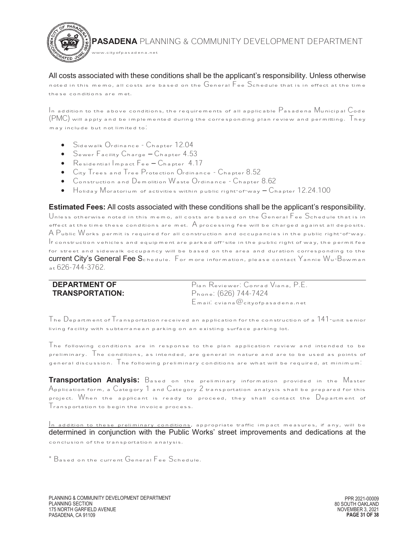All costs associated with these conditions shall be the applicant's responsibility. Unless otherwise noted in this memo, all costs are based on the General Fee Schedule that is in effect at the time these conditions are met.

 $\,$  In addition to the above conditions, the requirements of all applicable  $\rm P$  asadena Municipal  $\rm C$ ode (PMC) will apply and be implemented during the corresponding plan review and permitting. They may include but not limited to.

Sidewalk Ordinance - Chapter 12.04

www.cityofpasadena.net

- · Sewer Facility Charge Chapter 4.53
- · Residential Impact Fee Chapter 4.17
- · City Trees and Tree Protection Ordinance Chapter 8.52
- · Construction and Demolition Waste Ordinance Chapter 8.62
- $\bullet$  Holiday Moratorium of activities within public right-of-way  $-$  Chapter 12.24.100

 **Estimated Fees:** All costs associated with these conditions shall be the applicant's responsibility.

Unless otherwise noted in this memo, all costs are based on the General Fee Schedule that is in effect at the time these conditions are met.  $A$  processing fee will be charged against all deposits. A Public Works permit is required for all construction and occupancies in the public right-of-way. If construction vehicles and equipment are parked off-site in the public right of way, the permit fee for street and sidewalk occupancy will be based on the area and duration corresponding to the current City's General Fee Schedule. For more information, please contact Yannie Wu-Bowman at 626-744-3762.

| <b>DEPARTMENT OF</b>   | Pian Reviewer: Conrad Viana, P.E.         |
|------------------------|-------------------------------------------|
| <b>TRANSPORTATION:</b> | Phone: (626) 744-7424                     |
|                        | $E$ mail. cviana $@$ city of pasadena.net |

The Department of Transportation received an application for the construction of a 141-unit senior living facility with subterranean parking on an existing surface parking lot.

The following conditions are in response to the plan application review and intended to be preliminary. The conditions, as intended, are general in nature and are to be used as points of general discussion. The following preliminary conditions are what will be required, at minimum:

**Transportation Analysis:** Based on the preliminary information provided in the Master Application form, a Category 1 and Category 2 transportation analysis shall be prepared for this project. When the applicant is ready to proceed, they shall contact the Department of Transportation to begin the invoice process.

 $\frac{1}{\sqrt{10}}$  addition to these preliminary conditions, appropriate traffic impact measures, if any, will be determined in conjunction with the Public Works' street improvements and dedications at the conclusion of the transportation analysis.

\* Based on the current General Fee Schedule.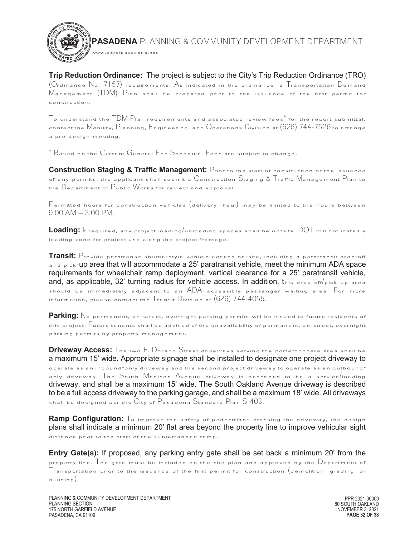**Trip Reduction Ordinance: T**he project is subject to the City's Trip Reduction Ordinance (TRO) (Ordinance No. 7157) requirements. As indicated in the ordinance, a Transportation Demand Management (TDM) Plan shall be prepared prior to the issuance of the first permit for construction.

 $\frac{1}{2}$  o understand the  $\frac{1}{2}$   $\frac{1}{2}$  Plan requirements and associated review fees for the report submittal, contact the Mobility, Planning, Engineering, and Operations Division at (626) 744-7526 to arrange a pre-design meeting.

 $\degree$  Based on the Current General Fee Schedule. Fees are subject to change.

www.cityofpasadena.net

**Construction Staging & Traffic Management:** Prior to the start of construction or the issuance of any permits, the applicant shall submit a Construction Staging  $\&$  Traffic Management Plan to the Department of Public Works for review and approval.

 $\mathsf P$ ermitted hours for construction vehicles (delivery, haul) may be limited to the hours between 9:00 AM – 3:00 PM.

**Loading:** If required, any project loading/unloading spaces shall be on-site. DOT will not install a loading zone for project use along the project frontage.

**Transit:** Provide paratransit shuttle-style vehicle access on-site, including a paratransit drop-off and pick-up area that will accommodate a 25' paratransit vehicle, meet the minimum ADA space requirements for wheelchair ramp deployment, vertical clearance for a 25' paratransit vehicle, and, as applicable, 32' turning radius for vehicle access. In addition,  $t_{\text{nis drop-off/pick-up area}}$ should be immediately adjacent to an ADA accessible passenger waiting area. For more information, please contact the Transit Division at (626) 744-4055.

Parking: No permanent, on-street, overnight parking permits will be issued to future residents of this project. Future tenants shall be advised of the unavailability of permanent, on-street, overnight parking permits by property management.

**Driveway Access:** The two El Dorado Street driveways serving the porte-cochere area shall be a maximum 15' wide. Appropriate signage shall be installed to designate one project driveway to operate as an inbound-only driveway and the second project driveway to operate as an outboundonly driveway. The South Madison Avenue driveway is described to be a service/loading driveway, and shall be a maximum 15' wide. The South Oakland Avenue driveway is described to be a full access driveway to the parking garage, and shall be a maximum 18' wide. All driveways shall be designed per the City of Pasadena Standard Plan S-403.

**Ramp Configuration:** To improve the safety of pedestrians crossing the driveway, the design plans shall indicate a minimum 20' flat area beyond the property line to improve vehicular sight distance prior to the start of the subterranean ramp.

**Entry Gate(s):** If proposed, any parking entry gate shall be set back a minimum 20' from the property line. The gate must be included on the site plan and approved by the  $\Box$ epartment of  $\mathsf{T}_{\texttt{ransportion}}$  prior to the issuance of the first permit for construction (demolition, grading, or building).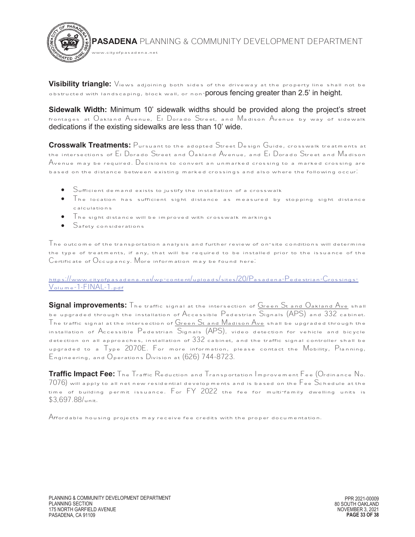

 **Visibility triangle:** Views adjoining both sides of the driveway at the property line shall not be obstructed with landscaping, block wall, or non-porous fencing greater than 2.5' in height.

**Sidewalk Width:** Minimum 10' sidewalk widths should be provided along the project's street frontages at Oakland Avenue, El Dorado Street, and Madison Avenue by way of sidewalk dedications if the existing sidewalks are less than 10' wide.

**Crosswalk Treatments:** Pursuant to the adopted Street Design Guide, crosswalk treatments at the intersections of El Dorado Street and Oakland Avenue, and El Dorado Street and Madison Avenue may be required. Decisions to convert an unmarked crossing to a marked crossing are based on the distance between existing marked crossings and also where the following occur:

- · Sufficient demand exists to justify the installation of a crosswalk
- · The location has sufficient sight distance as measured by stopping sight distance calculations
- $\top$ he sight distance will be improved with crosswalk markings
- · Safety considerations

 $\mathcal T$ he outcome of the transportation analysis and further review of on-site conditions will determine the type of treatments, if any, that will be required to be installed prior to the issuance of the Certificate of Occupancy. More information may be found here:

https://www.cityofpasadena.net/wp-content/uploads/sites/20/Pasadena-Pedestrian-Crossings-Volume-1-FINAL-1.pdf

Signal improvements: The traffic signal at the intersection of Green St and Oakland Ave shall be upgraded through the installation of Accessible Pedestrian Signals (APS) and 332 cabinet. The traffic signal at the intersection of  $G$ reen  $S$ t and  $M$ adison  $\overline{\mathsf{A}}$ ve shall be upgraded through the installation of Accessible Pedestrian Signals (APS), video detection for vehicle and bicycle detection on all approaches, installation of  $332$  cabinet, and the traffic signal controller shall be upgraded to a Type 2070E. For more information, please contact the Mobility, Planning, Engineering, and Operations Division at (626) 744-8723.

**Traffic Impact Fee:** The Traffic Reduction and Transportation Improvement Fee (Ordinance No.  $7076)$  will apply to all net new residential developments and is based on the  $\mathsf{F}$ ee  $\mathsf{S}$ chedule at the time of building permit issuance. For FY 2022 the fee for multi-family dwelling units is \$3,697.88/unit.

Affordable housing projects may receive fee credits with the proper documentation.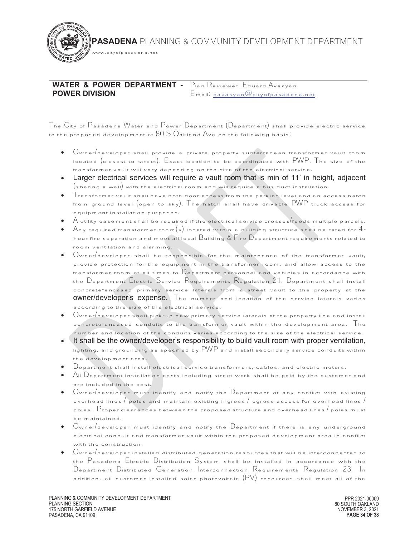**WATER & POWER DEPARTMENT -**  Plan Reviewer: Eduard Avakyan **POWER DIVISION** Email: eavakyan@cityofpasadena.net

www.cityofpasadena.net

The City of Pasadena Water and Power Department (Department) shall provide electric service to the proposed development at  $80$   $S$   $O$ akland  $A$ ve on the following basis.

- · Owner/developer shall provide a private property subterranean transformer vault room located (closest to street). Exact location to be coordinated with PWP. The size of the transformer vault will vary depending on the size of the electrical service.
- · Larger electrical services will require a vault room that is min of 11' in height, adjacent (sharing a wall) with the electrical room and will require a bus duct installation.
- · Transformer vault shall have both door access from the parking level and an access hatch from ground level (open to sky). The hatch shall have drivable PWP truck access for equipment installation purposes.
- $\bullet$   $\,$   $\,$  A utility easement shall be required if the electrical service crosses/feeds multiple parcels.
- Any required transformer room(s) located within a building structure shall be rated for  $4$ hour fire separation and meet all local  $B$ uilding  $\&$  Fire  $D$ epartment requirements related to room ventilation and alarming.
- $\bullet$   $\circ$  Owner/developer shall be responsible for the maintenance of the transformer vault, provide protection for the equipment in the transformer room, and allow access to the transformer room at all times to  $\mathbb D$ epartment personnel and vehicles in accordance with the Department Electric Service Requirements Regulation 21. Department shall install concrete-encased primary service laterals from a street vault to the property at the owner/developer's expense. The number and location of the service laterals varies according to the size of the electrical service.
- $0$ wner $\prime$ developer shall pick-up new primary service laterals at the property line and install concrete-encased conduits to the transformer vault within the development area. The number and location of the conduits varies according to the size of the electrical service.
- · It shall be the owner/developer's responsibility to build vault room with proper ventilation, lighting, and grounding as specified by  $\mathsf{PWP}$  and install secondary service conduits within the development area.
- $D$ epartment shall install electrical service transformers, cables, and electric meters.
- · All Department installation costs including street work shall be paid by the customer and are included in the cost.
- $0$ wner $/$ developer must identify and notify the  $D$ epartment of any conflict with existing overhead lines  $/$  poles and maintain existing ingress  $/$  egress access for overhead lines  $/$ poles. Proper clearances between the proposed structure and overhead lines / poles must be maintained.
- $\bullet$   $\circ$  Owner/developer must identify and notify the Department if there is any underground electrical conduit and transformer vault within the proposed development area in conflict with the construction.
- $\circ$  Owner $/$ developer installed distributed generation resources that will be interconnected to the Pasadena Electric Distribution System shall be installed in accordance with the Department Distributed Generation Interconnection Requirements Regulation 23. In addition, all customer installed solar photovoltaic  $(PV)$  resources shall meet all of the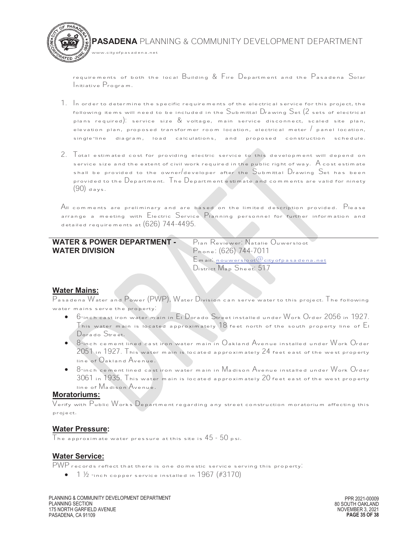

requirements of both the local Building & Fire Department and the Pasadena Solar Initiative Program.

- $1. \,$  In order to determine the specific requirements of the electrical service for this project, the following items will need to be included in the Submittal Drawing Set (2 sets of electrical plans required): service size & voltage, main service disconnect, scaled site plan, elevation plan, proposed transformer room location, electrical meter / panel location, single-line diagram, load calculations, and proposed construction schedule.
- 2. Total estimated cost for providing electric service to this development will depend on service size and the extent of civil work required in the public right of way.  $\bigwedge$  cost estimate shall be provided to the owner/developer after the Submittal Drawing Set has been provided to the Department. The Department estimate and comments are valid for ninety  $(90)$  days.

 $A$ II comments are preliminary and are based on the limited description provided.  $\mathsf{P}_{\mathsf{lease}}$ arrange a meeting with Electric Service Planning personnel for further information and detailed requirements at (626) 744-4495.

# **WATER & POWER DEPARTMENT - WATER DIVISION**

 Plan Reviewer: Natalie Ouwersloot Phone: (626) 744-7011 Email: nouwersloot@cityofpasadena.net District Map Sheet: 517

#### **Water Mains:**

Pasadena Water and Power (PWP), Water Division can serve water to this project. The following water mains serve the property:

- · 6-inch cast iron water main in El Dorado Street installed under Work Order 2056 in 1927. This water main is located approximately  $18$  feet north of the south property line of  $\mathsf E_{\mathsf I}$ Dorado Street.
- $\bullet$  8-inch cement lined cast iron water main in Oakland Avenue installed under Work Order 2051 in 1927. This water main is located approximately 24 feet east of the west property line of Oakland Avenue.
- $8$ -inch cement lined cast iron water main in Madison Avenue installed under Work Order 3061 in 1935. This water main is located approximately 20 feet east of the west property line of Madison Avenue.

#### **Moratoriums:**

Verify with Public Works Department regarding any street construction moratorium affecting this project.

#### **Water Pressure:**

The approximate water pressure at this site is  $45$  -  $50$  psi.

#### **Water Service:**

PWP records reflect that there is one domestic service serving this property:

 $\bullet$  1  $\frac{1}{2}$  -inch copper service installed in 1967 (#3170)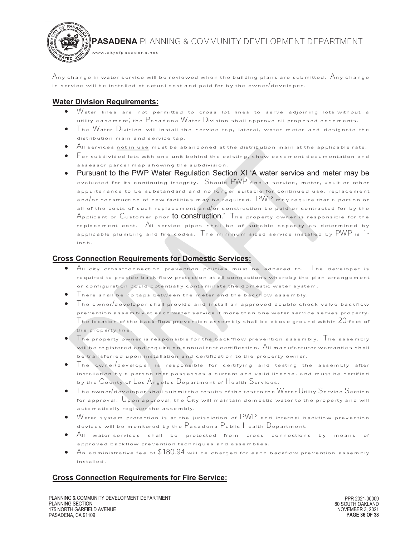

 $\mathcal A$ ny change in water service will be reviewed when the building plans are submitted.  $\mathcal A$ ny change in service will be installed at actual cost and paid for by the owner developer.

## **Water Division Requirements:**

- $\bullet$   $\,$  Water lines are not permitted to cross lot lines to serve adjoining lots without a utility easement; the Pasadena Water Division shall approve all proposed easements.
- · The Water Division will install the service tap, lateral, water meter and designate the distribution main and service tap.
- All services not in use must be abandoned at the distribution main at the applicable rate.
- · For subdivided lots with one unit behind the existing, show easement documentation and assessor parcel map showing the subdivision.
- Pursuant to the PWP Water Regulation Section XI 'A water service and meter may be evaluated for its continuing integrity. Should PWP find a service, meter, vault or other appurtenance to be substandard and no longer suitable for continued use, replacement and/or construction of new facilities may be required.  $\, {\sf PWP} \,$  may require that a portion or all of the costs of such replacement and or construction be paid or contracted for by the Applicant or Customer prior **to construction.'** The property owner is responsible for the replacement cost. All service pipes shall be of suitable capacity as determined by applicable plumbing and fire codes. The minimum sized service installed by PWP is 1 inch.

## **Cross Connection Requirements for Domestic Services:**

- · All city cross-connection prevention policies must be adhered to. The developer is required to provide back-flow protection at all connections whereby the plan arrangement or configuration could potentially contaminate the domestic water system.
- · There shall be no taps between the meter and the backflow assembly.
- $\Gamma$ he owner $/$ developer shall provide and install an approved double check valve backflow prevention assembly at each water service if more than one water service serves property.  ${\mathcal T}$ he location of the back-flow prevention assembly shall be above ground within  $20$ -feet of the property line.
- The property owner is responsible for the back-flow prevention assembly. The assembly will be registered and require an annual test certification. All manufacturer warranties shall be transferred upon installation and certification to the property owner.
- The owner/developer is responsible for certifying and testing the assembly after installation by a person that possesses a current and valid license, and must be certified by the County of Los Angeles Department of Health Services.
- The owner/developer shall submit the results of the test to the Water Utility Service Section for approval.  $\bigcup$  pon approval, the City will maintain domestic water to the property and will automatically register the assembly.
- $\sqrt{a}$  water system protection is at the jurisdiction of  $\sqrt{PWP}$  and internal backflow prevention devices will be monitored by the Pasadena Public Health Department.
- $\bullet$   $\overline{\mathsf{A}}$  II water services shall be protected from cross connections by means of approved backflow prevention techniques and assemblies.
- $\mathsf A$ n administrative fee of  $\$180.94$  will be charged for each backflow prevention assembly installed.

# **Cross Connection Requirements for Fire Service:**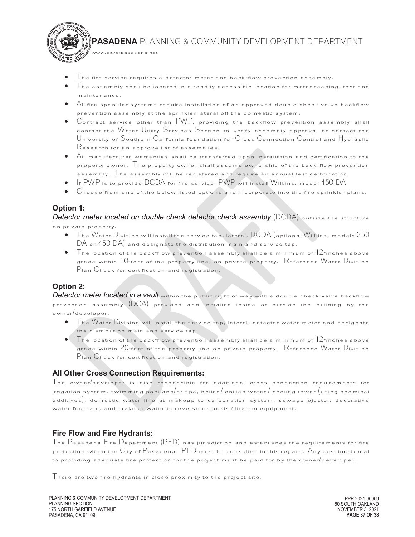

- $\top$ he fire service requires a detector meter and back-flow prevention assembly.
- $\top$ he assembly shall be located in a readily accessible location for meter reading, test and maintenance.
- $\bullet$   $\;$   $\;$  All fire sprinkler systems require installation of an approved double check valve backflow prevention assembly at the sprinkler lateral off the domestic system.
- · Contract service other than PWP, providing the backflow prevention assembly shall contact the Water Utility Services Section to verify assembly approval or contact the University of Southern California foundation for Cross Connection Control and Hydraulic Research for an approve list of assemblies.
- $\,$  All manufacturer warranties shall be transferred upon installation and certification to the property owner. The property owner shall assume ownership of the back-flow prevention assembly. The assembly will be registered and require an annual test certification.
- · If PWP is to provide DCDA for fire service, PWP will install Wilkins, model 450 DA.
- · Choose from one of the below listed options and incorporate into the fire sprinkler plans.

## **Option 1:**

 $4\tau_{ED}$  J

*Detector meter located on double check detector check assembly* (DCDA) outside the structure on private property.

- · The Water Division will install the service tap, lateral, DCDA (optional Wilkins, models 350 DA or 450 DA) and designate the distribution main and service tap.
- The location of the back-flow prevention assembly shall be a minimum of  $12$ -inches above grade within  $10$ -feet of the property line, on private property.  $\,$  Reference  $\rm W$ ater  $\rm D$ ivision Plan Check for certification and registration.

#### **Option 2:**

*Detector meter located in a vault* within the public right of way with a double check valve backflow prevention assembly  $(DCA)$  provided and installed inside or outside the building by the owner/developer.

- ${\sf T}$ he  ${\sf W}$ ater  ${\sf D}$ ivision will install the service tap, lateral, detector water meter and designate the distribution main and service tap.
- $\bullet$  The location of the back-flow prevention assembly shall be a minimum of  $12$ -inches above grade within 20-feet of the property line on private property. Reference Water Division Plan Check for certification and registration.

#### **All Other Cross Connection Requirements:**

www.cityofpasadena.net

The owner/developer is also responsible for additional cross connection requirements for irrigation system, swimming pool and/or spa, boiler  $/$  chilled water  $/$  cooling tower (using chemical additives), domestic water line at makeup to carbonation system, sewage ejector, decorative water fountain, and makeup water to reverse osmosis filtration equipment.

#### **Fire Flow and Fire Hydrants:**

The Pasadena Fire Department (PFD) has jurisdiction and establishes the requirements for fire protection within the City of Pasadena. PFD must be consulted in this regard. Any cost incidental to providing adequate fire protection for the project must be paid for by the owner/developer.

Inere are two fire hydrants in close proximity to the project site.